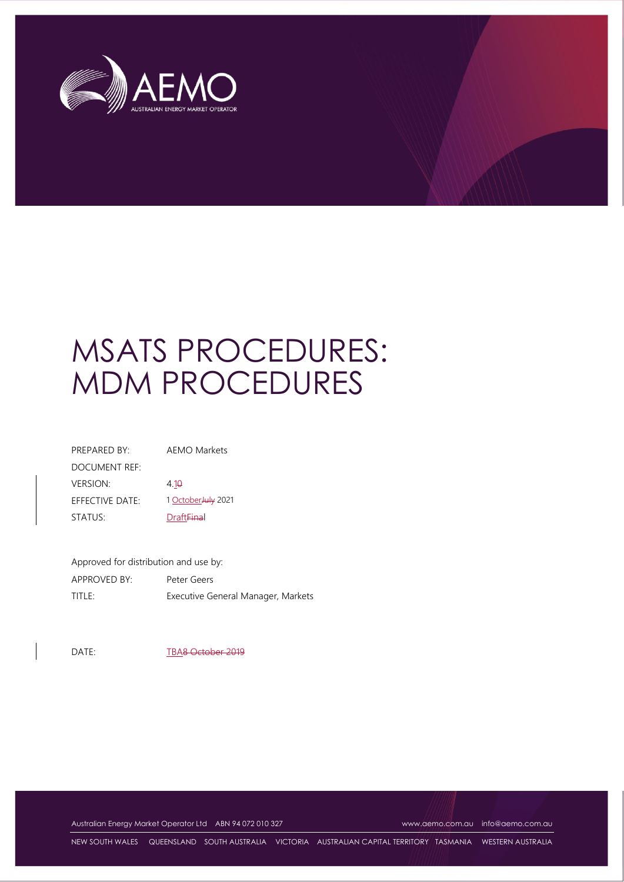

# MSATS PROCEDURES: MDM PROCEDURES

| PRFPARFD BY:              | <b>AEMO Markets</b>          |
|---------------------------|------------------------------|
| DOCUMENT REF <sup>.</sup> |                              |
| <b>VERSION:</b>           | 4.10                         |
| EFFECTIVE DATE:           | 1 October July 2021          |
| STATUS:                   | <b>Draft<del>Fina</del>l</b> |

Approved for distribution and use by: APPROVED BY: Peter Geers TITLE: Executive General Manager, Markets

DATE: TBA8 October 2019

Australian Energy Market Operator Ltd ABN 94 072 010 327 [www.aemo.com.au](http://www.aemo.com.au/) [info@aemo.com.au](mailto:info@aemo.com.au) info@aemo.com.au

NEW SOUTH WALES QUEENSLAND SOUTH AUSTRALIA VICTORIA AUSTRALIAN CAPITAL TERRITORY TASMANIA WESTERN AUSTRALIA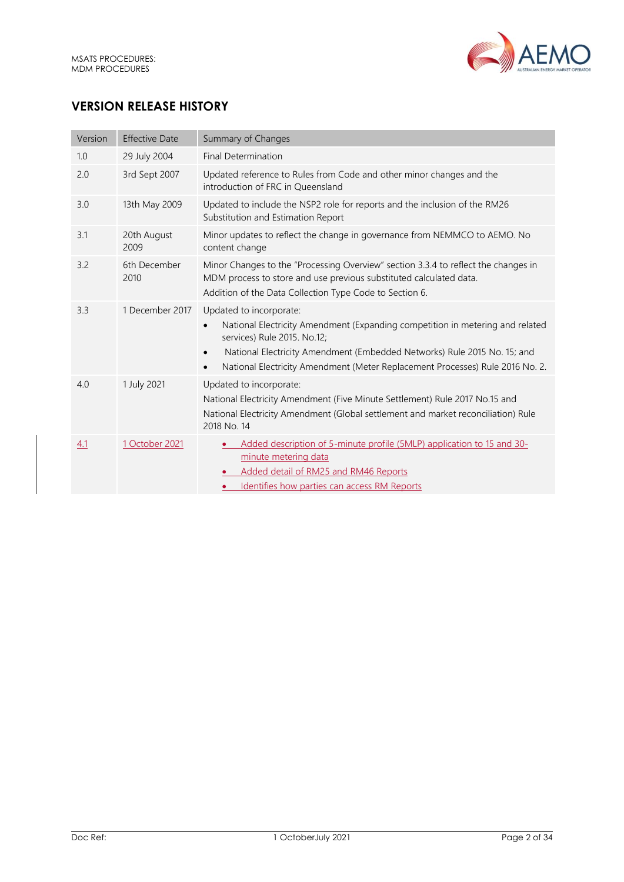

# **VERSION RELEASE HISTORY**

| Version | <b>Effective Date</b> | Summary of Changes                                                                                                                                                                                                                                                                                                |
|---------|-----------------------|-------------------------------------------------------------------------------------------------------------------------------------------------------------------------------------------------------------------------------------------------------------------------------------------------------------------|
| 1.0     | 29 July 2004          | <b>Final Determination</b>                                                                                                                                                                                                                                                                                        |
| 2.0     | 3rd Sept 2007         | Updated reference to Rules from Code and other minor changes and the<br>introduction of FRC in Queensland                                                                                                                                                                                                         |
| 3.0     | 13th May 2009         | Updated to include the NSP2 role for reports and the inclusion of the RM26<br>Substitution and Estimation Report                                                                                                                                                                                                  |
| 3.1     | 20th August<br>2009   | Minor updates to reflect the change in governance from NEMMCO to AEMO. No<br>content change                                                                                                                                                                                                                       |
| 3.2     | 6th December<br>2010  | Minor Changes to the "Processing Overview" section 3.3.4 to reflect the changes in<br>MDM process to store and use previous substituted calculated data.<br>Addition of the Data Collection Type Code to Section 6.                                                                                               |
| 3.3     | 1 December 2017       | Updated to incorporate:<br>National Electricity Amendment (Expanding competition in metering and related<br>services) Rule 2015. No.12;<br>National Electricity Amendment (Embedded Networks) Rule 2015 No. 15; and<br>$\bullet$<br>National Electricity Amendment (Meter Replacement Processes) Rule 2016 No. 2. |
| 4.0     | 1 July 2021           | Updated to incorporate:<br>National Electricity Amendment (Five Minute Settlement) Rule 2017 No.15 and<br>National Electricity Amendment (Global settlement and market reconciliation) Rule<br>2018 No. 14                                                                                                        |
| 4.1     | 1 October 2021        | Added description of 5-minute profile (5MLP) application to 15 and 30-<br>minute metering data<br>Added detail of RM25 and RM46 Reports<br>Identifies how parties can access RM Reports                                                                                                                           |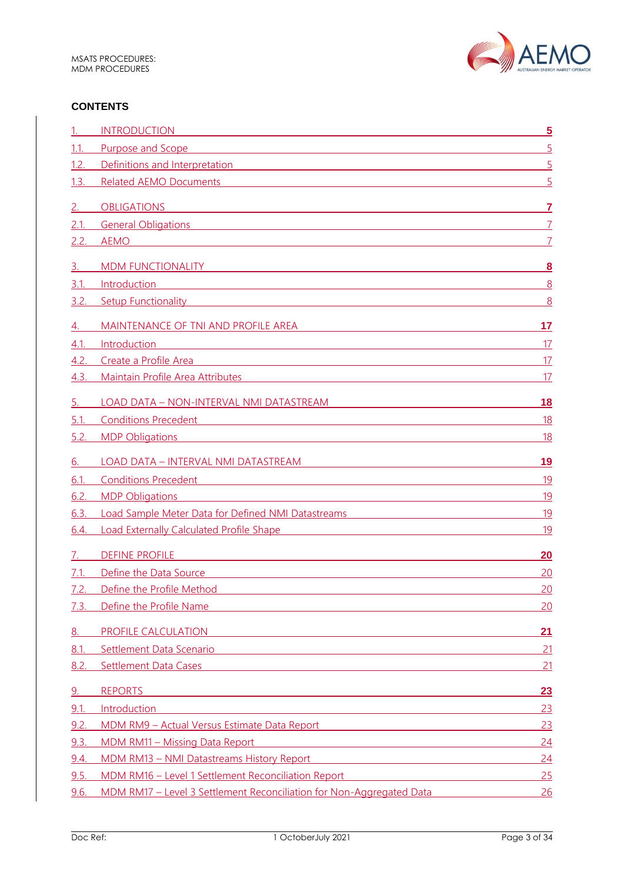

## **CONTENTS**

|           | <b>INTRODUCTION</b>                                                                                                                                                                                                                                            | $\overline{\mathbf{5}}$ |
|-----------|----------------------------------------------------------------------------------------------------------------------------------------------------------------------------------------------------------------------------------------------------------------|-------------------------|
| 1.1.      | Purpose and Scope                                                                                                                                                                                                                                              | $\overline{5}$          |
| 1.2.      | Definitions and Interpretation <b>Executive Contract Contract Contract Contract Contract Contract Contract Contract Contract Contract Contract Contract Contract Contract Contract Contract Contract Contract Contract Contract </b>                           | $\overline{5}$          |
| 1.3.      | <b>Related AEMO Documents</b><br><u> 1989 - Johann Stoff, deutscher Stoffen und der Stoffen und der Stoffen und der Stoffen und der Stoffen und de</u>                                                                                                         | 5                       |
| 2.        | <b>OBLIGATIONS</b>                                                                                                                                                                                                                                             | 7                       |
| 2.1.      | <b>General Obligations</b><br>and the control of the control of the control of the control of the control of the control of the control of the                                                                                                                 | $\overline{7}$          |
| 2.2.      | <b>AEMO</b><br><u> 1989 - Johann Stoff, amerikansk politiker (* 1908)</u>                                                                                                                                                                                      |                         |
|           |                                                                                                                                                                                                                                                                |                         |
| 3.        | <b>MDM FUNCTIONALITY</b><br><u> 1989 - Johann Stoff, Amerikaansk politiker († 1908)</u>                                                                                                                                                                        | $\overline{\mathbf{8}}$ |
| 3.1.      | Introduction<br><u> 1989 - Johann Stoff, amerikansk politiker (d. 1989)</u>                                                                                                                                                                                    | 8                       |
| 3.2       | <b>Setup Functionality Setup Setup Setup Setup Setup Setup Setup Setup Setup Setup Setup Setup Setup Setup Setup</b>                                                                                                                                           | 8                       |
| 4.        | MAINTENANCE OF TNI AND PROFILE AREA                                                                                                                                                                                                                            | 17                      |
| 4.1.      | Introduction                                                                                                                                                                                                                                                   | 17                      |
| 4.2.      | Create a Profile Area <b>Acceleration and Create and Create and Create a</b> Profile Area                                                                                                                                                                      | 17                      |
| 4.3.      | Maintain Profile Area Attributes                                                                                                                                                                                                                               | 17                      |
| 5.        | LOAD DATA - NON-INTERVAL NMI DATASTREAM<br><u> 1980 - Johann Barn, mars eta bainar eta bainar eta baina eta baina eta baina eta baina eta baina eta baina e</u>                                                                                                | <b>18</b>               |
| 5.1       | Conditions Precedent <b>Conditions</b> Precedent                                                                                                                                                                                                               | 18                      |
| 5.2.      | <b>MDP Obligations</b><br><u> 1980 - Johann Stoff, amerikansk politiker (d. 1980)</u>                                                                                                                                                                          | <u>18</u>               |
|           |                                                                                                                                                                                                                                                                |                         |
| 6.        | LOAD DATA - INTERVAL NMI DATASTREAM                                                                                                                                                                                                                            | <u>19</u>               |
| 6.1       | Conditions Precedent and the conditions of the conditions of the conditions of the conditions of the conditions of the conditions of the conditions of the conditions of the conditions of the conditions of the conditions of                                 | 19                      |
| 6.2       | <b>MDP Obligations</b><br><u> 1980 - Johann Stein, marwolaethau a bhann an t-Amhair an t-Amhair an t-Amhair an t-Amhair an t-Amhair an t-A</u>                                                                                                                 | <u>19</u>               |
| 6.3.      | Load Sample Meter Data for Defined NMI Datastreams and the control of the control of the control of the control of the control of the control of the control of the control of the control of the control of the control of th                                 | 19                      |
| 6.4.      | <b>Load Externally Calculated Profile Shape Contract Contract Contract Contract Contract Contract Contract Contract Contract Contract Contract Contract Contract Contract Contract Contract Contract Contract Contract Contract </b>                           | 19                      |
|           | <b>DEFINE PROFILE</b>                                                                                                                                                                                                                                          | 20                      |
| 7.1       | Define the Data Source<br><u>and the state of the state of the state of the state of the state of the state of the state of the state of the state of the state of the state of the state of the state of the state of the state of the state of the state</u> | 20                      |
| 7.2.      | Define the Profile Method                                                                                                                                                                                                                                      | 20                      |
| 7.3.      | Define the Profile Name                                                                                                                                                                                                                                        | 20                      |
| <u>8.</u> | PROFILE CALCULATION<br><u> 1989 - Johann Stoff, deutscher Stoff, der Stoff, der Stoff, der Stoff, der Stoff, der Stoff, der Stoff, der S</u>                                                                                                                   | 21                      |
| 8.1       | Settlement Data Scenario                                                                                                                                                                                                                                       | 21                      |
| 8.2.      | <b>Settlement Data Cases</b>                                                                                                                                                                                                                                   | 21                      |
| 9.        | <b>REPORTS</b><br><u> 1989 - Johann Stoff, amerikansk politiker (d. 1989)</u>                                                                                                                                                                                  | 23                      |
| 9.1.      | Introduction<br><u> 1989 - Johann Stoff, amerikansk politiker (d. 1989)</u>                                                                                                                                                                                    | 23                      |
| 9.2.      | MDM RM9 - Actual Versus Estimate Data Report and a second service of the service of the service of the service of the service of the service of the service of the service of the service of the service of the service of the                                 | 23                      |
| 9.3.      | <b>MDM RM11 - Missing Data Report</b><br><u> 1989 - Andrea Stadt, fransk politik (d. 1989)</u>                                                                                                                                                                 | 24                      |
| 9.4.      | MDM RM13 - NMI Datastreams History Report<br><u> 1980 - Johann Barn, mars ann an t-Amhain Aonaich an t-Aonaich an t-Aonaich ann an t-Aonaich ann an t-Aonaich</u>                                                                                              | 24                      |
| 9.5.      | MDM RM16 - Level 1 Settlement Reconciliation Report                                                                                                                                                                                                            | 25                      |
| 9.6.      | MDM RM17 - Level 3 Settlement Reconciliation for Non-Aggregated Data                                                                                                                                                                                           | 26                      |
|           |                                                                                                                                                                                                                                                                |                         |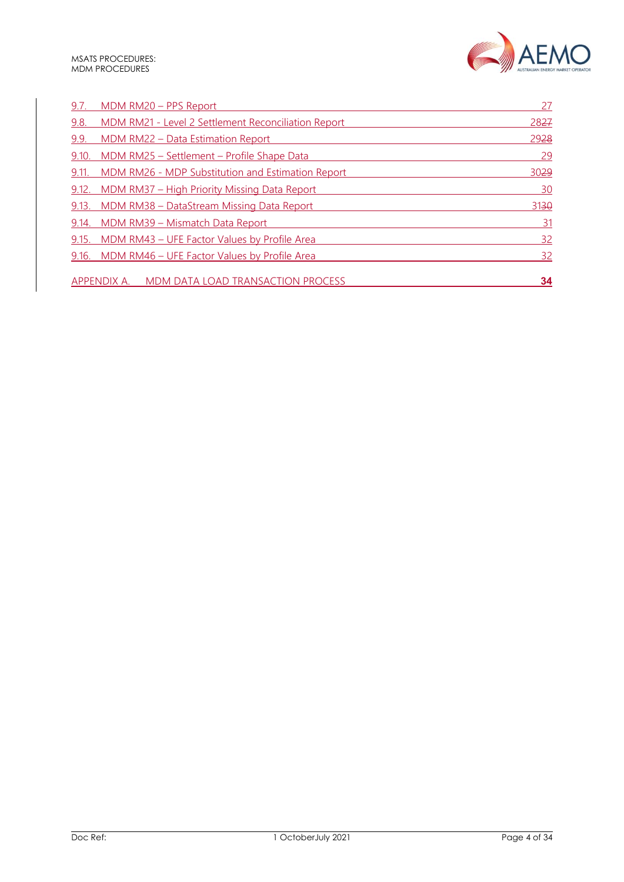

| 9.7.  | MDM RM20 - PPS Report                                   | 27        |
|-------|---------------------------------------------------------|-----------|
| 9.8.  | MDM RM21 - Level 2 Settlement Reconciliation Report     | 2827      |
| 9.9.  | MDM RM22 - Data Estimation Report                       | 2928      |
| 9.10. | <u> MDM RM25 - Settlement - Profile Shape Data</u>      | 29        |
| 9.11. | MDM RM26 - MDP Substitution and Estimation Report       | 3029      |
| 9.12. | <u> MDM RM37 – High Priority Missing Data Report</u>    | <u>30</u> |
| 9.13. | MDM RM38 - DataStream Missing Data Report               | 3130      |
| 9.14. | MDM RM39 - Mismatch Data Report                         | 31        |
| 9.15. | MDM RM43 - UFE Factor Values by Profile Area            | <u>32</u> |
|       | 9.16. MDM RM46 - UFE Factor Values by Profile Area      | <u>32</u> |
|       | <b>APPENDIX A.</b><br>MDM DATA LOAD TRANSACTION PROCESS | 34        |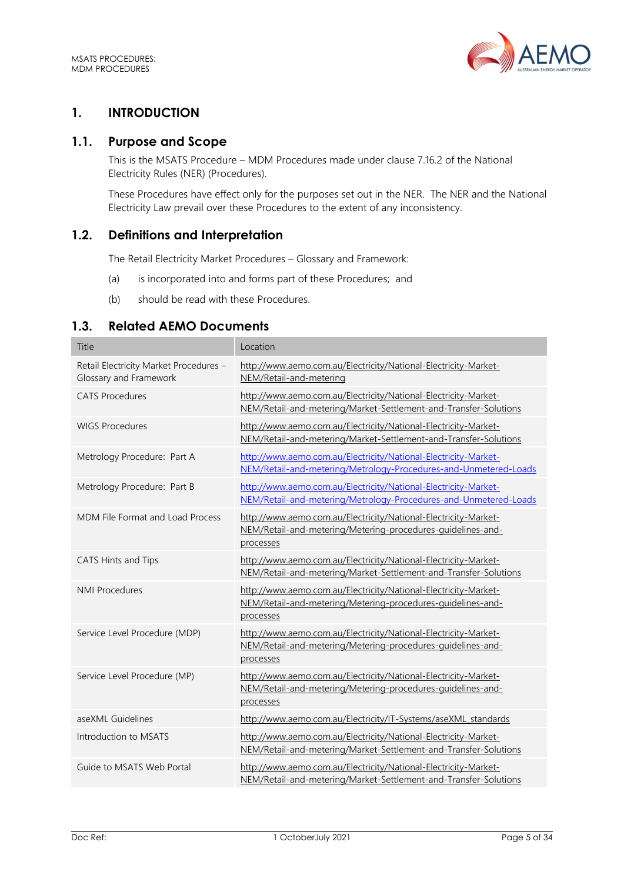

# <span id="page-4-0"></span>**1. INTRODUCTION**

## <span id="page-4-1"></span>**1.1. Purpose and Scope**

This is the MSATS Procedure – MDM Procedures made under clause 7.16.2 of the National Electricity Rules (NER) (Procedures).

These Procedures have effect only for the purposes set out in the NER. The NER and the National Electricity Law prevail over these Procedures to the extent of any inconsistency.

# <span id="page-4-2"></span>**1.2. Definitions and Interpretation**

The Retail Electricity Market Procedures – Glossary and Framework:

- (a) is incorporated into and forms part of these Procedures; and
- (b) should be read with these Procedures.

## <span id="page-4-3"></span>**1.3. Related AEMO Documents**

| Title                                                            | Location                                                                                                                                    |
|------------------------------------------------------------------|---------------------------------------------------------------------------------------------------------------------------------------------|
| Retail Electricity Market Procedures -<br>Glossary and Framework | http://www.aemo.com.au/Electricity/National-Electricity-Market-<br>NEM/Retail-and-metering                                                  |
| <b>CATS Procedures</b>                                           | http://www.aemo.com.au/Electricity/National-Electricity-Market-<br>NEM/Retail-and-metering/Market-Settlement-and-Transfer-Solutions         |
| <b>WIGS Procedures</b>                                           | http://www.aemo.com.au/Electricity/National-Electricity-Market-<br>NEM/Retail-and-metering/Market-Settlement-and-Transfer-Solutions         |
| Metrology Procedure: Part A                                      | http://www.aemo.com.au/Electricity/National-Electricity-Market-<br>NEM/Retail-and-metering/Metrology-Procedures-and-Unmetered-Loads         |
| Metrology Procedure: Part B                                      | http://www.aemo.com.au/Electricity/National-Electricity-Market-<br>NEM/Retail-and-metering/Metrology-Procedures-and-Unmetered-Loads         |
| MDM File Format and Load Process                                 | http://www.aemo.com.au/Electricity/National-Electricity-Market-<br>NEM/Retail-and-metering/Metering-procedures-guidelines-and-<br>processes |
| CATS Hints and Tips                                              | http://www.aemo.com.au/Electricity/National-Electricity-Market-<br>NEM/Retail-and-metering/Market-Settlement-and-Transfer-Solutions         |
| <b>NMI Procedures</b>                                            | http://www.aemo.com.au/Electricity/National-Electricity-Market-<br>NEM/Retail-and-metering/Metering-procedures-quidelines-and-<br>processes |
| Service Level Procedure (MDP)                                    | http://www.aemo.com.au/Electricity/National-Electricity-Market-<br>NEM/Retail-and-metering/Metering-procedures-quidelines-and-<br>processes |
| Service Level Procedure (MP)                                     | http://www.aemo.com.au/Electricity/National-Electricity-Market-<br>NEM/Retail-and-metering/Metering-procedures-guidelines-and-<br>processes |
| aseXML Guidelines                                                | http://www.aemo.com.au/Electricity/IT-Systems/aseXML standards                                                                              |
| Introduction to MSATS                                            | http://www.aemo.com.au/Electricity/National-Electricity-Market-<br>NEM/Retail-and-metering/Market-Settlement-and-Transfer-Solutions         |
| Guide to MSATS Web Portal                                        | http://www.aemo.com.au/Electricity/National-Electricity-Market-<br>NEM/Retail-and-metering/Market-Settlement-and-Transfer-Solutions         |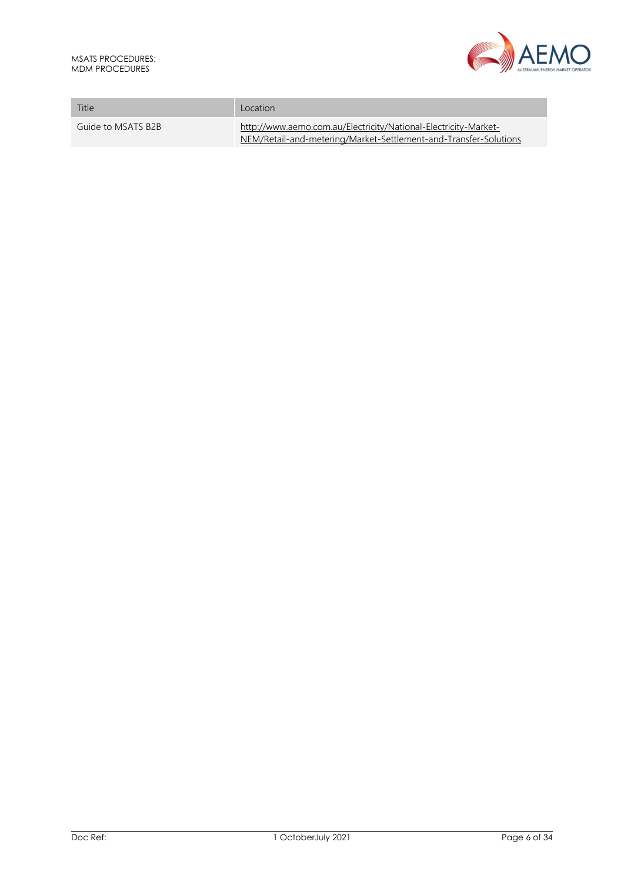

| MDM PROCEDURES.    | AUSTRALIAN ENERGY MARKET OF                                                                                                         |  |
|--------------------|-------------------------------------------------------------------------------------------------------------------------------------|--|
| Title              | Location                                                                                                                            |  |
| Guide to MSATS B2B | http://www.aemo.com.au/Electricity/National-Electricity-Market-<br>NEM/Retail-and-metering/Market-Settlement-and-Transfer-Solutions |  |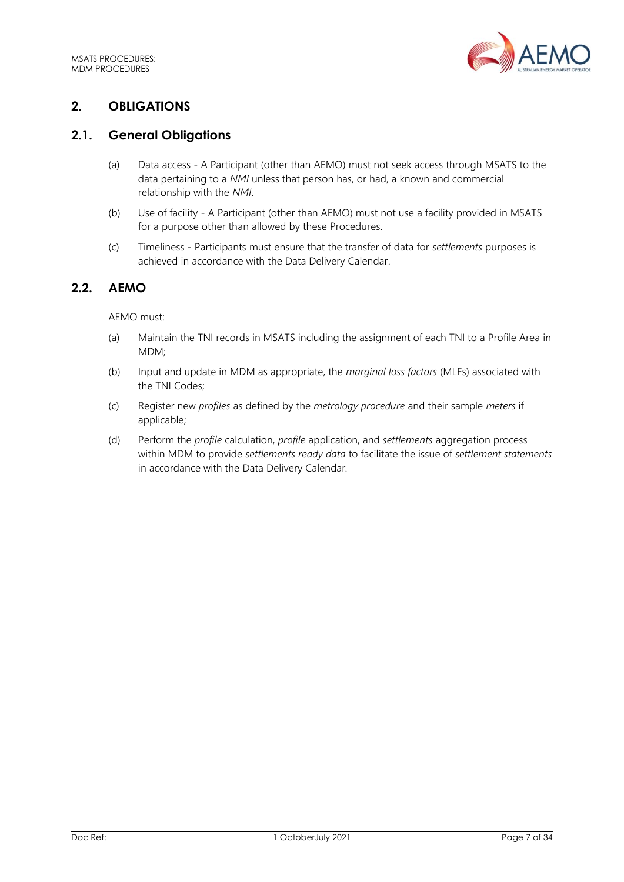

# <span id="page-6-0"></span>**2. OBLIGATIONS**

## <span id="page-6-1"></span>**2.1. General Obligations**

- (a) Data access A Participant (other than AEMO) must not seek access through MSATS to the data pertaining to a *NMI* unless that person has, or had, a known and commercial relationship with the *NMI*.
- (b) Use of facility A Participant (other than AEMO) must not use a facility provided in MSATS for a purpose other than allowed by these Procedures.
- (c) Timeliness Participants must ensure that the transfer of data for *settlements* purposes is achieved in accordance with the Data Delivery Calendar.

## <span id="page-6-2"></span>**2.2. AEMO**

#### AEMO must:

- (a) Maintain the TNI records in MSATS including the assignment of each TNI to a Profile Area in MDM;
- (b) Input and update in MDM as appropriate, the *marginal loss factors* (MLFs) associated with the TNI Codes;
- (c) Register new *profiles* as defined by the *metrology procedure* and their sample *meters* if applicable;
- (d) Perform the *profile* calculation, *profile* application, and *settlements* aggregation process within MDM to provide *settlements ready data* to facilitate the issue of *settlement statements* in accordance with the Data Delivery Calendar*.*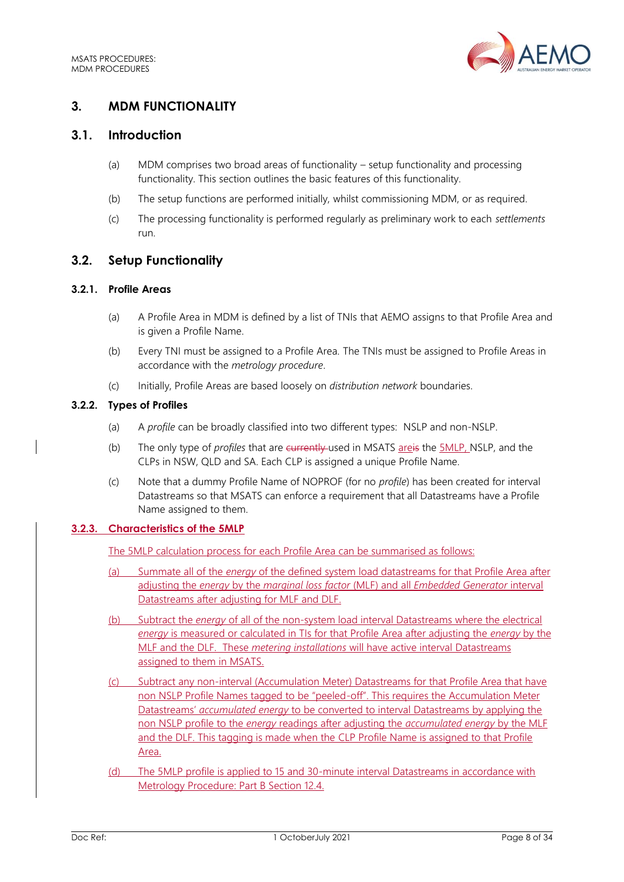

# <span id="page-7-0"></span>**3. MDM FUNCTIONALITY**

## <span id="page-7-1"></span>**3.1. Introduction**

- (a) MDM comprises two broad areas of functionality setup functionality and processing functionality. This section outlines the basic features of this functionality.
- (b) The setup functions are performed initially, whilst commissioning MDM, or as required.
- (c) The processing functionality is performed regularly as preliminary work to each *settlements* run.

## <span id="page-7-2"></span>**3.2. Setup Functionality**

#### **3.2.1. Profile Areas**

- (a) A Profile Area in MDM is defined by a list of TNIs that AEMO assigns to that Profile Area and is given a Profile Name.
- (b) Every TNI must be assigned to a Profile Area. The TNIs must be assigned to Profile Areas in accordance with the *metrology procedure*.
- (c) Initially, Profile Areas are based loosely on *distribution network* boundaries.

#### **3.2.2. Types of Profiles**

- (a) A *profile* can be broadly classified into two different types: NSLP and non-NSLP.
- (b) The only type of *profiles* that are currently used in MSATS areis the 5MLP, NSLP, and the CLPs in NSW, QLD and SA. Each CLP is assigned a unique Profile Name.
- (c) Note that a dummy Profile Name of NOPROF (for no *profile*) has been created for interval Datastreams so that MSATS can enforce a requirement that all Datastreams have a Profile Name assigned to them.

## **3.2.3. Characteristics of the 5MLP**

The 5MLP calculation process for each Profile Area can be summarised as follows:

- (a) Summate all of the *energy* of the defined system load datastreams for that Profile Area after adjusting the *energy* by the *marginal loss factor* (MLF) and all *Embedded Generator* interval Datastreams after adjusting for MLF and DLF.
- (b) Subtract the *energy* of all of the non-system load interval Datastreams where the electrical *energy* is measured or calculated in TIs for that Profile Area after adjusting the *energy* by the MLF and the DLF. These *metering installations* will have active interval Datastreams assigned to them in MSATS.
- (c) Subtract any non-interval (Accumulation Meter) Datastreams for that Profile Area that have non NSLP Profile Names tagged to be "peeled-off". This requires the Accumulation Meter Datastreams' *accumulated energy* to be converted to interval Datastreams by applying the non NSLP profile to the *energy* readings after adjusting the *accumulated energy* by the MLF and the DLF. This tagging is made when the CLP Profile Name is assigned to that Profile Area.
- (d) The 5MLP profile is applied to 15 and 30-minute interval Datastreams in accordance with Metrology Procedure: Part B Section 12.4.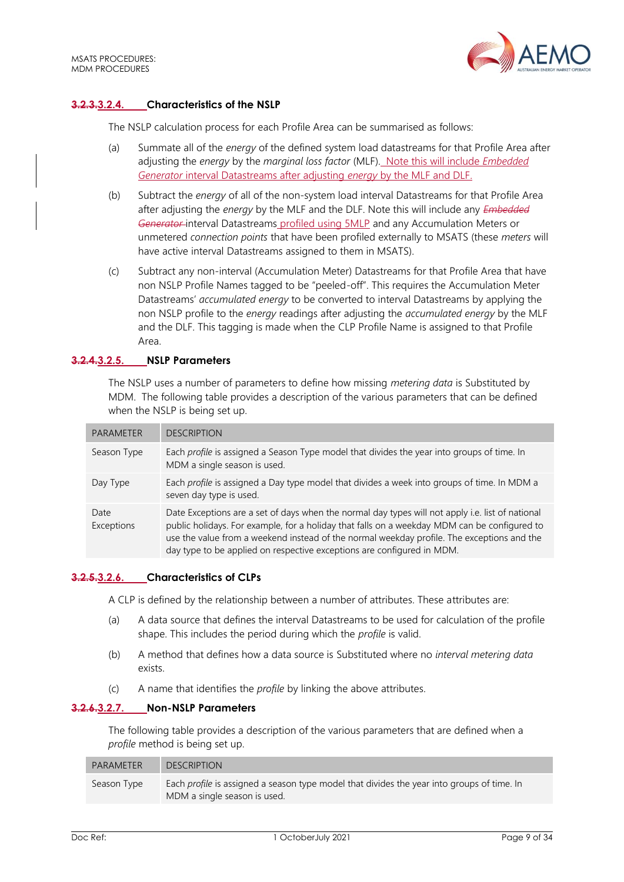

#### **3.2.3.3.2.4. Characteristics of the NSLP**

The NSLP calculation process for each Profile Area can be summarised as follows:

- (a) Summate all of the *energy* of the defined system load datastreams for that Profile Area after adjusting the *energy* by the *marginal loss factor* (MLF). Note this will include *Embedded Generator* interval Datastreams after adjusting *energy* by the MLF and DLF.
- (b) Subtract the *energy* of all of the non-system load interval Datastreams for that Profile Area after adjusting the *energy* by the MLF and the DLF. Note this will include any *Embedded*  Generator-interval Datastreams profiled using 5MLP and any Accumulation Meters or unmetered *connection points* that have been profiled externally to MSATS (these *meters* will have active interval Datastreams assigned to them in MSATS).
- (c) Subtract any non-interval (Accumulation Meter) Datastreams for that Profile Area that have non NSLP Profile Names tagged to be "peeled-off". This requires the Accumulation Meter Datastreams' *accumulated energy* to be converted to interval Datastreams by applying the non NSLP profile to the *energy* readings after adjusting the *accumulated energy* by the MLF and the DLF. This tagging is made when the CLP Profile Name is assigned to that Profile Area.

#### **3.2.4.3.2.5. NSLP Parameters**

The NSLP uses a number of parameters to define how missing *metering data* is Substituted by MDM. The following table provides a description of the various parameters that can be defined when the NSLP is being set up.

| <b>PARAMETER</b>   | <b>DESCRIPTION</b>                                                                                                                                                                                                                                                                                                                                                       |
|--------------------|--------------------------------------------------------------------------------------------------------------------------------------------------------------------------------------------------------------------------------------------------------------------------------------------------------------------------------------------------------------------------|
| Season Type        | Each profile is assigned a Season Type model that divides the year into groups of time. In<br>MDM a single season is used.                                                                                                                                                                                                                                               |
| Day Type           | Each profile is assigned a Day type model that divides a week into groups of time. In MDM a<br>seven day type is used.                                                                                                                                                                                                                                                   |
| Date<br>Exceptions | Date Exceptions are a set of days when the normal day types will not apply i.e. list of national<br>public holidays. For example, for a holiday that falls on a weekday MDM can be configured to<br>use the value from a weekend instead of the normal weekday profile. The exceptions and the<br>day type to be applied on respective exceptions are configured in MDM. |

#### <span id="page-8-0"></span>**3.2.5.3.2.6. Characteristics of CLPs**

A CLP is defined by the relationship between a number of attributes. These attributes are:

- (a) A data source that defines the interval Datastreams to be used for calculation of the profile shape. This includes the period during which the *profile* is valid.
- (b) A method that defines how a data source is Substituted where no *interval metering data* exists.
- (c) A name that identifies the *profile* by linking the above attributes.

#### **3.2.6.3.2.7. Non-NSLP Parameters**

The following table provides a description of the various parameters that are defined when a *profile* method is being set up.

| PARAMETER   | <b>DESCRIPTION</b>                                                                                                                |
|-------------|-----------------------------------------------------------------------------------------------------------------------------------|
| Season Type | Each <i>profile</i> is assigned a season type model that divides the year into groups of time. In<br>MDM a single season is used. |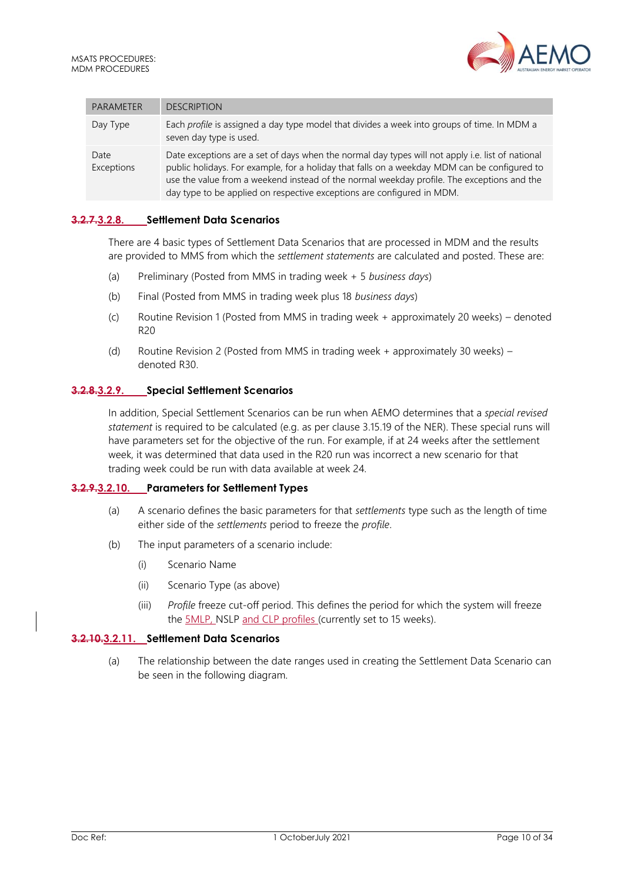

| <b>PARAMETER</b>   | <b>DESCRIPTION</b>                                                                                                                                                                                                                                                                                                                                                       |
|--------------------|--------------------------------------------------------------------------------------------------------------------------------------------------------------------------------------------------------------------------------------------------------------------------------------------------------------------------------------------------------------------------|
| Day Type           | Each profile is assigned a day type model that divides a week into groups of time. In MDM a<br>seven day type is used.                                                                                                                                                                                                                                                   |
| Date<br>Exceptions | Date exceptions are a set of days when the normal day types will not apply i.e. list of national<br>public holidays. For example, for a holiday that falls on a weekday MDM can be configured to<br>use the value from a weekend instead of the normal weekday profile. The exceptions and the<br>day type to be applied on respective exceptions are configured in MDM. |

#### **3.2.7.3.2.8. Settlement Data Scenarios**

There are 4 basic types of Settlement Data Scenarios that are processed in MDM and the results are provided to MMS from which the *settlement statements* are calculated and posted. These are:

- (a) Preliminary (Posted from MMS in trading week + 5 *business days*)
- (b) Final (Posted from MMS in trading week plus 18 *business days*)
- (c) Routine Revision 1 (Posted from MMS in trading week + approximately 20 weeks) denoted R20
- (d) Routine Revision 2 (Posted from MMS in trading week + approximately 30 weeks) denoted R30.

#### **3.2.8.3.2.9. Special Settlement Scenarios**

In addition, Special Settlement Scenarios can be run when AEMO determines that a *special revised statement* is required to be calculated (e.g. as per clause 3.15.19 of the NER). These special runs will have parameters set for the objective of the run. For example, if at 24 weeks after the settlement week, it was determined that data used in the R20 run was incorrect a new scenario for that trading week could be run with data available at week 24.

#### **3.2.9.3.2.10. Parameters for Settlement Types**

- (a) A scenario defines the basic parameters for that *settlements* type such as the length of time either side of the *settlements* period to freeze the *profile*.
- (b) The input parameters of a scenario include:
	- (i) Scenario Name
	- (ii) Scenario Type (as above)
	- (iii) *Profile* freeze cut-off period. This defines the period for which the system will freeze the 5MLP, NSLP and CLP profiles (currently set to 15 weeks).

#### **3.2.10.3.2.11. Settlement Data Scenarios**

(a) The relationship between the date ranges used in creating the Settlement Data Scenario can be seen in the following diagram.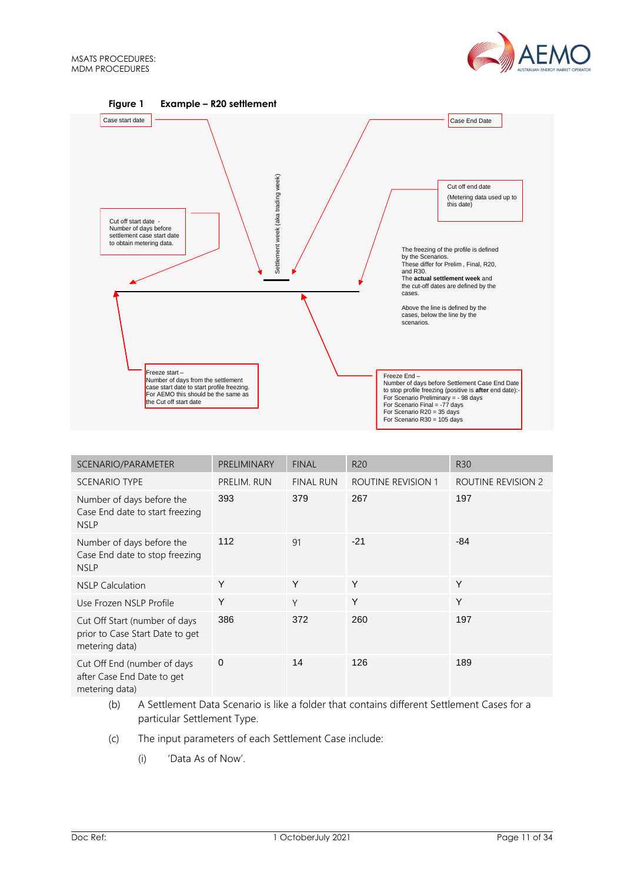



| SCENARIO/PARAMETER                                                                 | PRELIMINARY | <b>FINAL</b>     | R <sub>20</sub>           | <b>R30</b>         |
|------------------------------------------------------------------------------------|-------------|------------------|---------------------------|--------------------|
| <b>SCENARIO TYPE</b>                                                               | PRELIM. RUN | <b>FINAL RUN</b> | <b>ROUTINE REVISION 1</b> | ROUTINE REVISION 2 |
| Number of days before the<br>Case End date to start freezing<br><b>NSLP</b>        | 393         | 379              | 267                       | 197                |
| Number of days before the<br>Case End date to stop freezing<br><b>NSLP</b>         | 112         | 91               | $-21$                     | $-84$              |
| <b>NSLP Calculation</b>                                                            | Y           | Y                | Y                         | Y                  |
| Use Frozen NSLP Profile                                                            | Y           | Y                | Y                         | Y                  |
| Cut Off Start (number of days<br>prior to Case Start Date to get<br>metering data) | 386         | 372              | 260                       | 197                |
| Cut Off End (number of days<br>after Case End Date to get<br>metering data)        | $\mathbf 0$ | 14               | 126                       | 189                |

- (b) A Settlement Data Scenario is like a folder that contains different Settlement Cases for a particular Settlement Type.
- (c) The input parameters of each Settlement Case include:
	- (i) 'Data As of Now'.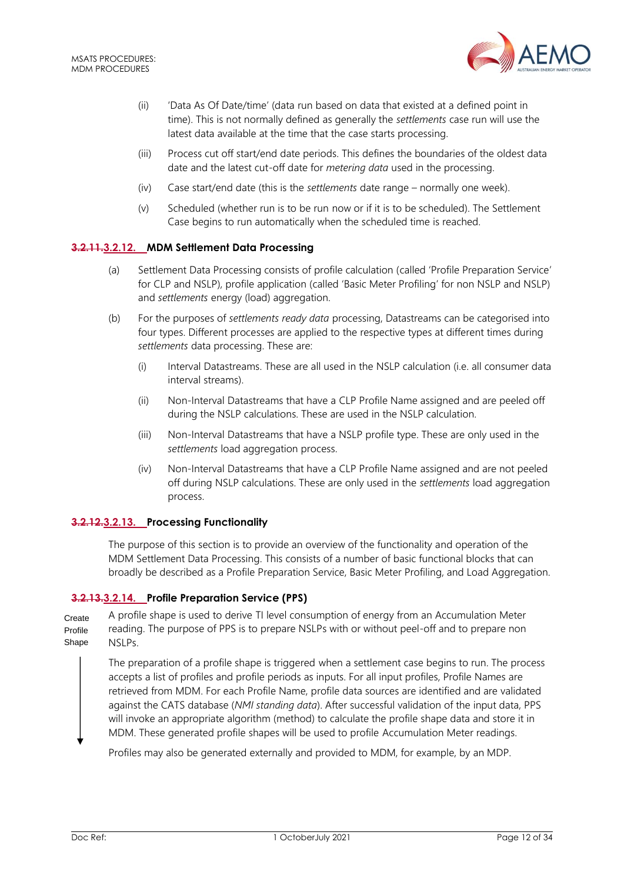

- (ii) 'Data As Of Date/time' (data run based on data that existed at a defined point in time). This is not normally defined as generally the *settlements* case run will use the latest data available at the time that the case starts processing.
- (iii) Process cut off start/end date periods. This defines the boundaries of the oldest data date and the latest cut-off date for *metering data* used in the processing.
- (iv) Case start/end date (this is the *settlements* date range normally one week).
- (v) Scheduled (whether run is to be run now or if it is to be scheduled). The Settlement Case begins to run automatically when the scheduled time is reached.

#### **3.2.11.3.2.12. MDM Settlement Data Processing**

- (a) Settlement Data Processing consists of profile calculation (called 'Profile Preparation Service' for CLP and NSLP), profile application (called 'Basic Meter Profiling' for non NSLP and NSLP) and *settlements* energy (load) aggregation.
- (b) For the purposes of *settlements ready data* processing, Datastreams can be categorised into four types. Different processes are applied to the respective types at different times during *settlements* data processing. These are:
	- (i) Interval Datastreams. These are all used in the NSLP calculation (i.e. all consumer data interval streams).
	- (ii) Non-Interval Datastreams that have a CLP Profile Name assigned and are peeled off during the NSLP calculations. These are used in the NSLP calculation.
	- (iii) Non-Interval Datastreams that have a NSLP profile type. These are only used in the *settlements* load aggregation process.
	- (iv) Non-Interval Datastreams that have a CLP Profile Name assigned and are not peeled off during NSLP calculations. These are only used in the *settlements* load aggregation process.

#### **3.2.12.3.2.13. Processing Functionality**

The purpose of this section is to provide an overview of the functionality and operation of the MDM Settlement Data Processing. This consists of a number of basic functional blocks that can broadly be described as a Profile Preparation Service, Basic Meter Profiling, and Load Aggregation.

## **3.2.13.3.2.14. Profile Preparation Service (PPS)**

A profile shape is used to derive TI level consumption of energy from an Accumulation Meter reading. The purpose of PPS is to prepare NSLPs with or without peel-off and to prepare non NSLPs. Create Profile Shape

The preparation of a profile shape is triggered when a settlement case begins to run. The process accepts a list of profiles and profile periods as inputs. For all input profiles, Profile Names are retrieved from MDM. For each Profile Name, profile data sources are identified and are validated against the CATS database (*NMI standing data*). After successful validation of the input data, PPS will invoke an appropriate algorithm (method) to calculate the profile shape data and store it in MDM. These generated profile shapes will be used to profile Accumulation Meter readings.

Profiles may also be generated externally and provided to MDM, for example, by an MDP.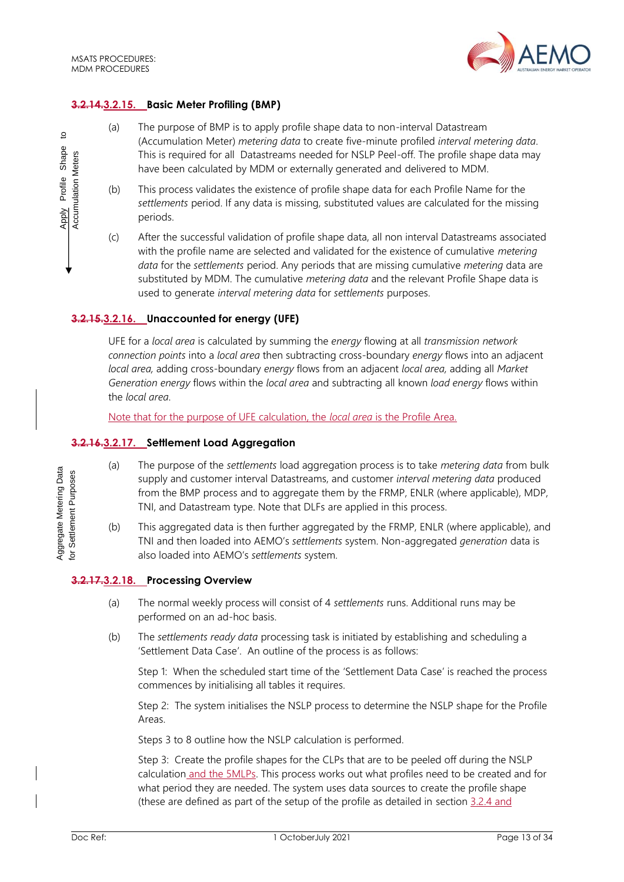

#### **3.2.14.3.2.15. Basic Meter Profiling (BMP)**

- (a) The purpose of BMP is to apply profile shape data to non-interval Datastream (Accumulation Meter) *metering data* to create five-minute profiled *interval metering data*. This is required for all Datastreams needed for NSLP Peel-off. The profile shape data may have been calculated by MDM or externally generated and delivered to MDM.
- (b) This process validates the existence of profile shape data for each Profile Name for the *settlements* period. If any data is missing, substituted values are calculated for the missing periods.
- (c) After the successful validation of profile shape data, all non interval Datastreams associated with the profile name are selected and validated for the existence of cumulative *metering data* for the *settlements* period. Any periods that are missing cumulative *metering* data are substituted by MDM. The cumulative *metering data* and the relevant Profile Shape data is used to generate *interval metering data* for *settlements* purposes.

#### **3.2.15.3.2.16. Unaccounted for energy (UFE)**

UFE for a *local area* is calculated by summing the *energy* flowing at all *transmission network connection points* into a *local area* then subtracting cross-boundary *energy* flows into an adjacent *local area,* adding cross-boundary *energy* flows from an adjacent *local area,* adding all *Market Generation energy* flows within the *local area* and subtracting all known *load energy* flows within the *local area*.

Note that for the purpose of UFE calculation, the *local area* is the Profile Area.

#### **3.2.16.3.2.17. Settlement Load Aggregation**

- (a) The purpose of the *settlements* load aggregation process is to take *metering data* from bulk supply and customer interval Datastreams, and customer *interval metering data* produced from the BMP process and to aggregate them by the FRMP, ENLR (where applicable), MDP, TNI, and Datastream type. Note that DLFs are applied in this process.
- (b) This aggregated data is then further aggregated by the FRMP, ENLR (where applicable), and TNI and then loaded into AEMO's *settlements* system. Non-aggregated *generation* data is also loaded into AEMO's *settlements* system.

#### **3.2.17.3.2.18. Processing Overview**

- (a) The normal weekly process will consist of 4 *settlements* runs. Additional runs may be performed on an ad-hoc basis.
- (b) The *settlements ready data* processing task is initiated by establishing and scheduling a 'Settlement Data Case'. An outline of the process is as follows:

Step 1: When the scheduled start time of the 'Settlement Data Case' is reached the process commences by initialising all tables it requires.

Step 2: The system initialises the NSLP process to determine the NSLP shape for the Profile Areas.

Steps 3 to 8 outline how the NSLP calculation is performed.

Step 3: Create the profile shapes for the CLPs that are to be peeled off during the NSLP calculation and the 5MLPs. This process works out what profiles need to be created and for what period they are needed. The system uses data sources to create the profile shape (these are defined as part of the setup of the profile as detailed in section 3.2.4 and

Aggregate Metering Data Aggregate Metering Data for Settlement Purposes for Settlement Purposes

Apply Profile Shape to Accumulation Meters

Apply Profile Shape **Accumulation Meters** 

 $\overline{5}$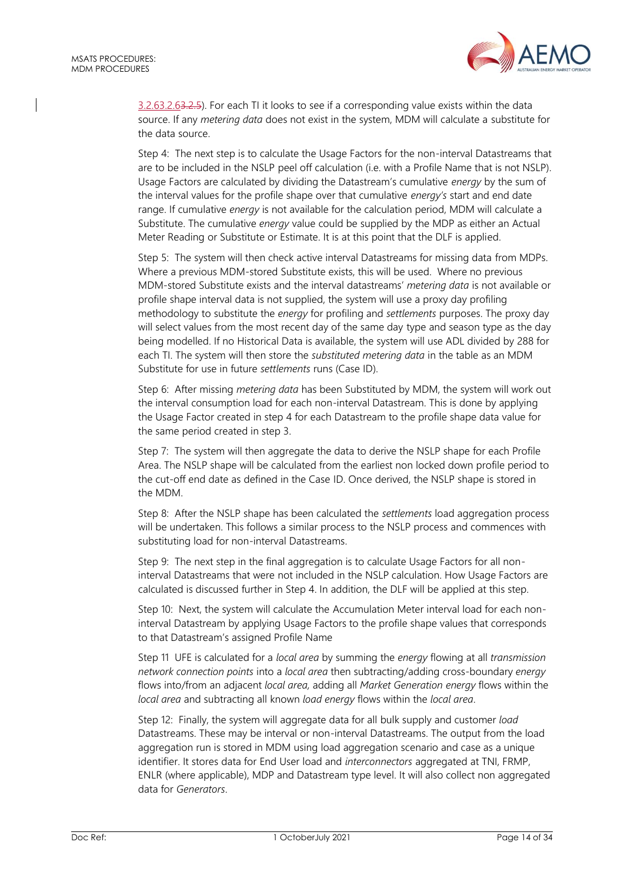

3.2.[63.2.63.2.5\)](#page-8-0). For each TI it looks to see if a corresponding value exists within the data source. If any *metering data* does not exist in the system, MDM will calculate a substitute for the data source.

Step 4: The next step is to calculate the Usage Factors for the non-interval Datastreams that are to be included in the NSLP peel off calculation (i.e. with a Profile Name that is not NSLP). Usage Factors are calculated by dividing the Datastream's cumulative *energy* by the sum of the interval values for the profile shape over that cumulative *energy's* start and end date range. If cumulative *energy* is not available for the calculation period, MDM will calculate a Substitute. The cumulative *energy* value could be supplied by the MDP as either an Actual Meter Reading or Substitute or Estimate. It is at this point that the DLF is applied.

Step 5: The system will then check active interval Datastreams for missing data from MDPs. Where a previous MDM-stored Substitute exists, this will be used. Where no previous MDM-stored Substitute exists and the interval datastreams' *metering data* is not available or profile shape interval data is not supplied, the system will use a proxy day profiling methodology to substitute the *energy* for profiling and *settlements* purposes. The proxy day will select values from the most recent day of the same day type and season type as the day being modelled. If no Historical Data is available, the system will use ADL divided by 288 for each TI. The system will then store the *substituted metering data* in the table as an MDM Substitute for use in future *settlements* runs (Case ID).

Step 6: After missing *metering data* has been Substituted by MDM, the system will work out the interval consumption load for each non-interval Datastream. This is done by applying the Usage Factor created in step 4 for each Datastream to the profile shape data value for the same period created in step 3.

Step 7: The system will then aggregate the data to derive the NSLP shape for each Profile Area. The NSLP shape will be calculated from the earliest non locked down profile period to the cut-off end date as defined in the Case ID. Once derived, the NSLP shape is stored in the MDM.

Step 8: After the NSLP shape has been calculated the *settlements* load aggregation process will be undertaken. This follows a similar process to the NSLP process and commences with substituting load for non-interval Datastreams.

Step 9: The next step in the final aggregation is to calculate Usage Factors for all noninterval Datastreams that were not included in the NSLP calculation. How Usage Factors are calculated is discussed further in Step 4. In addition, the DLF will be applied at this step.

Step 10: Next, the system will calculate the Accumulation Meter interval load for each noninterval Datastream by applying Usage Factors to the profile shape values that corresponds to that Datastream's assigned Profile Name

Step 11 UFE is calculated for a *local area* by summing the *energy* flowing at all *transmission network connection points* into a *local area* then subtracting/adding cross-boundary *energy* flows into/from an adjacent *local area,* adding all *Market Generation energy* flows within the *local area* and subtracting all known *load energy* flows within the *local area*.

Step 12: Finally, the system will aggregate data for all bulk supply and customer *load* Datastreams. These may be interval or non-interval Datastreams. The output from the load aggregation run is stored in MDM using load aggregation scenario and case as a unique identifier. It stores data for End User load and *interconnectors* aggregated at TNI, FRMP, ENLR (where applicable), MDP and Datastream type level. It will also collect non aggregated data for *Generators*.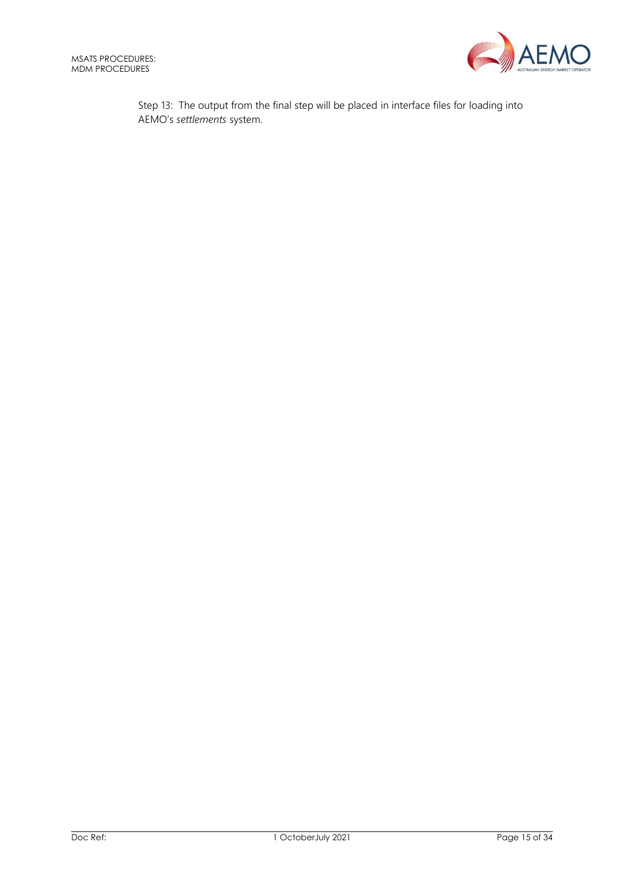

Step 13: The output from the final step will be placed in interface files for loading into AEMO's *settlements* system.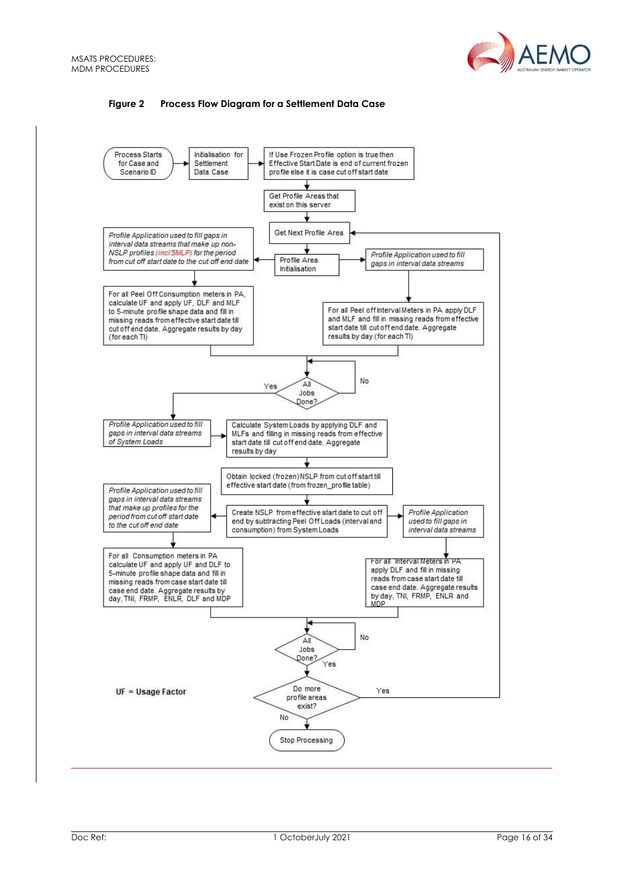

#### **Figure 2 Process Flow Diagram for a Settlement Data Case**

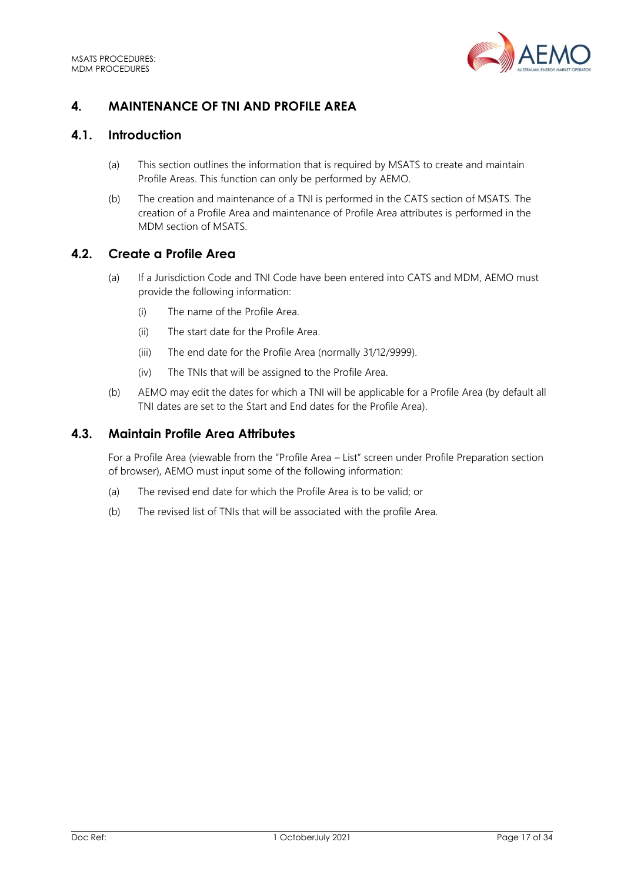

# <span id="page-16-0"></span>**4. MAINTENANCE OF TNI AND PROFILE AREA**

# <span id="page-16-1"></span>**4.1. Introduction**

- (a) This section outlines the information that is required by MSATS to create and maintain Profile Areas. This function can only be performed by AEMO.
- (b) The creation and maintenance of a TNI is performed in the CATS section of MSATS. The creation of a Profile Area and maintenance of Profile Area attributes is performed in the MDM section of MSATS.

## <span id="page-16-2"></span>**4.2. Create a Profile Area**

- (a) If a Jurisdiction Code and TNI Code have been entered into CATS and MDM, AEMO must provide the following information:
	- (i) The name of the Profile Area.
	- (ii) The start date for the Profile Area.
	- (iii) The end date for the Profile Area (normally 31/12/9999).
	- (iv) The TNIs that will be assigned to the Profile Area.
- (b) AEMO may edit the dates for which a TNI will be applicable for a Profile Area (by default all TNI dates are set to the Start and End dates for the Profile Area).

## <span id="page-16-3"></span>**4.3. Maintain Profile Area Attributes**

For a Profile Area (viewable from the "Profile Area – List" screen under Profile Preparation section of browser), AEMO must input some of the following information:

- (a) The revised end date for which the Profile Area is to be valid; or
- (b) The revised list of TNIs that will be associated with the profile Area.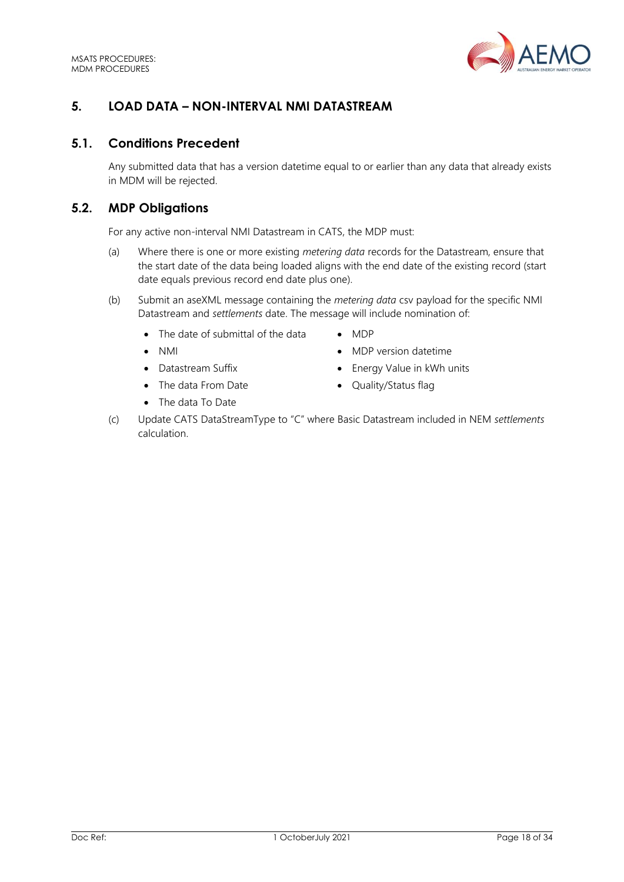

# <span id="page-17-0"></span>**5. LOAD DATA – NON-INTERVAL NMI DATASTREAM**

## <span id="page-17-1"></span>**5.1. Conditions Precedent**

Any submitted data that has a version datetime equal to or earlier than any data that already exists in MDM will be rejected.

# <span id="page-17-2"></span>**5.2. MDP Obligations**

For any active non-interval NMI Datastream in CATS, the MDP must:

- (a) Where there is one or more existing *metering data* records for the Datastream, ensure that the start date of the data being loaded aligns with the end date of the existing record (start date equals previous record end date plus one).
- (b) Submit an aseXML message containing the *metering data* csv payload for the specific NMI Datastream and *settlements* date. The message will include nomination of:
	- The date of submittal of the data MDP
	-
	-
	- The data From Date Quality/Status flag
	- The data To Date
- 
- NMI MDP version datetime
- Datastream Suffix **•** Energy Value in kWh units
	-
- (c) Update CATS DataStreamType to "C" where Basic Datastream included in NEM *settlements* calculation.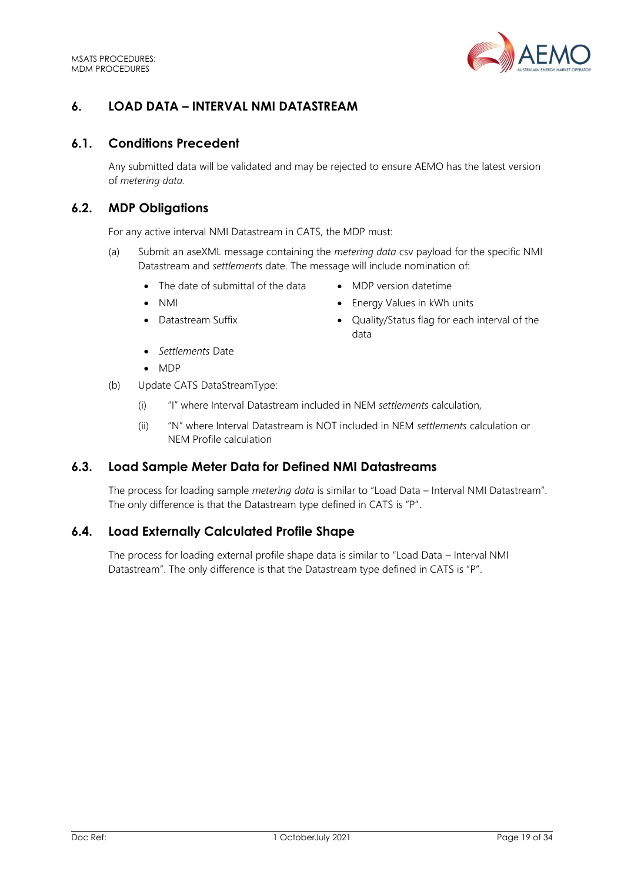

# <span id="page-18-0"></span>**6. LOAD DATA – INTERVAL NMI DATASTREAM**

## <span id="page-18-1"></span>**6.1. Conditions Precedent**

Any submitted data will be validated and may be rejected to ensure AEMO has the latest version of *metering data.*

## <span id="page-18-2"></span>**6.2. MDP Obligations**

For any active interval NMI Datastream in CATS, the MDP must:

- (a) Submit an aseXML message containing the *metering data* csv payload for the specific NMI Datastream and *settlements* date. The message will include nomination of:
	- The date of submittal of the data MDP version datetime
	-
	-
- 
- NMI NMI Energy Values in kWh units
- Datastream Suffix  **Quality/Status flag for each interval of the** data
- *Settlements* Date
- MDP
- (b) Update CATS DataStreamType:
	- (i) "I" where Interval Datastream included in NEM *settlements* calculation,
	- (ii) "N" where Interval Datastream is NOT included in NEM *settlements* calculation or NEM Profile calculation

## <span id="page-18-3"></span>**6.3. Load Sample Meter Data for Defined NMI Datastreams**

The process for loading sample *metering data* is similar to "Load Data – Interval NMI Datastream". The only difference is that the Datastream type defined in CATS is "P".

## <span id="page-18-4"></span>**6.4. Load Externally Calculated Profile Shape**

The process for loading external profile shape data is similar to "Load Data – Interval NMI Datastream". The only difference is that the Datastream type defined in CATS is "P".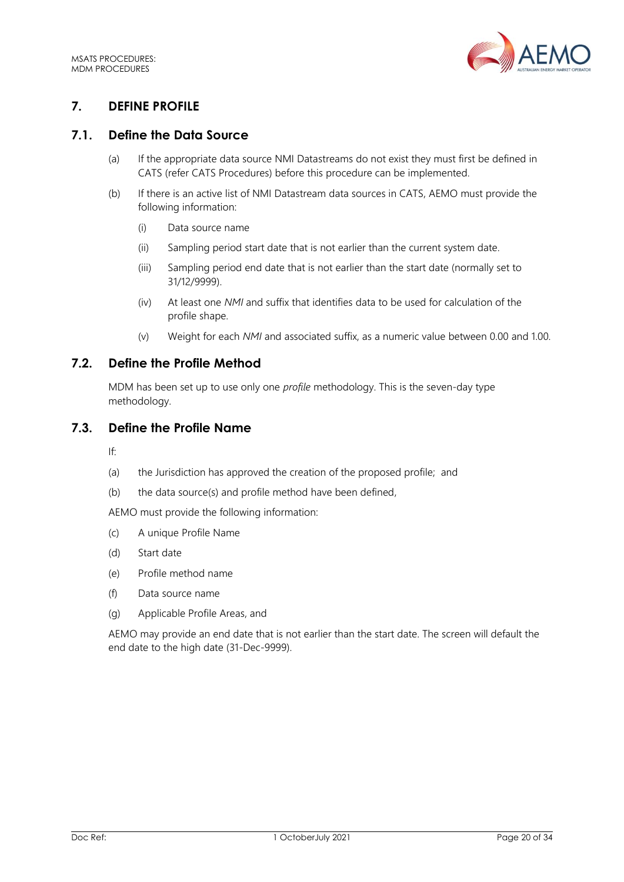

# <span id="page-19-0"></span>**7. DEFINE PROFILE**

# <span id="page-19-1"></span>**7.1. Define the Data Source**

- (a) If the appropriate data source NMI Datastreams do not exist they must first be defined in CATS (refer CATS Procedures) before this procedure can be implemented.
- (b) If there is an active list of NMI Datastream data sources in CATS, AEMO must provide the following information:
	- (i) Data source name
	- (ii) Sampling period start date that is not earlier than the current system date.
	- (iii) Sampling period end date that is not earlier than the start date (normally set to 31/12/9999).
	- (iv) At least one *NMI* and suffix that identifies data to be used for calculation of the profile shape.
	- (v) Weight for each *NMI* and associated suffix, as a numeric value between 0.00 and 1.00.

## <span id="page-19-2"></span>**7.2. Define the Profile Method**

MDM has been set up to use only one *profile* methodology. This is the seven-day type methodology.

## <span id="page-19-3"></span>**7.3. Define the Profile Name**

If:

- (a) the Jurisdiction has approved the creation of the proposed profile; and
- (b) the data source(s) and profile method have been defined,

AEMO must provide the following information:

- (c) A unique Profile Name
- (d) Start date
- (e) Profile method name
- (f) Data source name
- (g) Applicable Profile Areas, and

AEMO may provide an end date that is not earlier than the start date. The screen will default the end date to the high date (31-Dec-9999).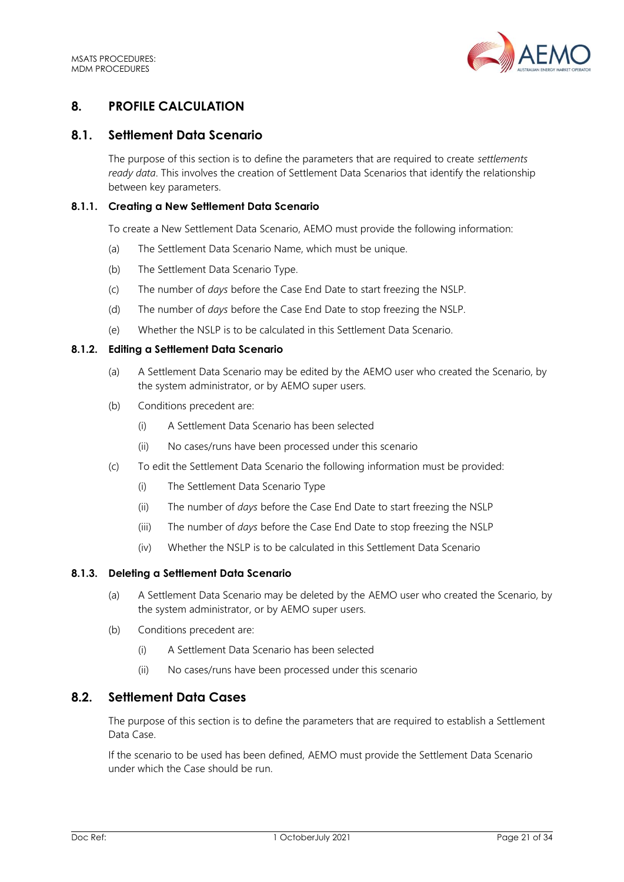

# <span id="page-20-0"></span>**8. PROFILE CALCULATION**

## <span id="page-20-1"></span>**8.1. Settlement Data Scenario**

The purpose of this section is to define the parameters that are required to create *settlements ready data*. This involves the creation of Settlement Data Scenarios that identify the relationship between key parameters.

#### **8.1.1. Creating a New Settlement Data Scenario**

To create a New Settlement Data Scenario, AEMO must provide the following information:

- (a) The Settlement Data Scenario Name, which must be unique.
- (b) The Settlement Data Scenario Type.
- (c) The number of *days* before the Case End Date to start freezing the NSLP.
- (d) The number of *days* before the Case End Date to stop freezing the NSLP.
- (e) Whether the NSLP is to be calculated in this Settlement Data Scenario.

#### **8.1.2. Editing a Settlement Data Scenario**

- (a) A Settlement Data Scenario may be edited by the AEMO user who created the Scenario, by the system administrator, or by AEMO super users.
- (b) Conditions precedent are:
	- (i) A Settlement Data Scenario has been selected
	- (ii) No cases/runs have been processed under this scenario
- (c) To edit the Settlement Data Scenario the following information must be provided:
	- (i) The Settlement Data Scenario Type
	- (ii) The number of *days* before the Case End Date to start freezing the NSLP
	- (iii) The number of *days* before the Case End Date to stop freezing the NSLP
	- (iv) Whether the NSLP is to be calculated in this Settlement Data Scenario

#### **8.1.3. Deleting a Settlement Data Scenario**

- (a) A Settlement Data Scenario may be deleted by the AEMO user who created the Scenario, by the system administrator, or by AEMO super users.
- (b) Conditions precedent are:
	- (i) A Settlement Data Scenario has been selected
	- (ii) No cases/runs have been processed under this scenario

## <span id="page-20-2"></span>**8.2. Settlement Data Cases**

The purpose of this section is to define the parameters that are required to establish a Settlement Data Case.

If the scenario to be used has been defined, AEMO must provide the Settlement Data Scenario under which the Case should be run.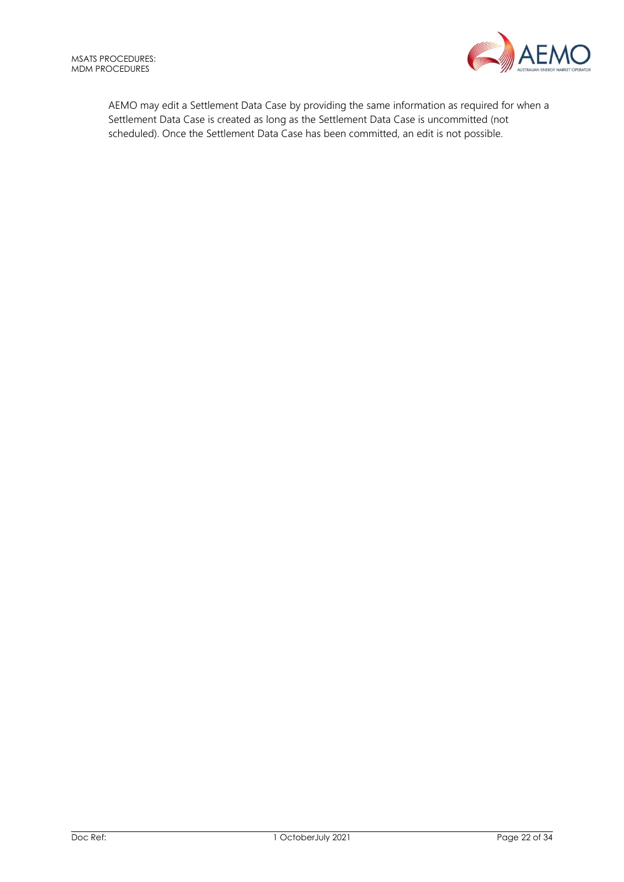

AEMO may edit a Settlement Data Case by providing the same information as required for when a Settlement Data Case is created as long as the Settlement Data Case is uncommitted (not scheduled). Once the Settlement Data Case has been committed, an edit is not possible.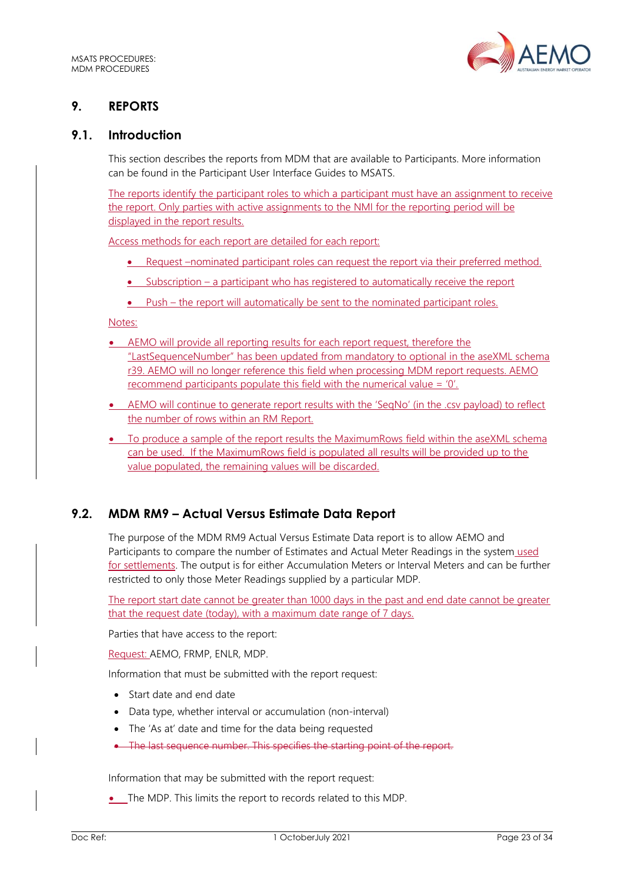

# <span id="page-22-0"></span>**9. REPORTS**

## <span id="page-22-1"></span>**9.1. Introduction**

This section describes the reports from MDM that are available to Participants. More information can be found in the Participant User Interface Guides to MSATS.

The reports identify the participant roles to which a participant must have an assignment to receive the report. Only parties with active assignments to the NMI for the reporting period will be displayed in the report results.

Access methods for each report are detailed for each report:

- Request –nominated participant roles can request the report via their preferred method.
- Subscription a participant who has registered to automatically receive the report
- Push the report will automatically be sent to the nominated participant roles.

Notes:

- AEMO will provide all reporting results for each report request, therefore the "LastSequenceNumber" has been updated from mandatory to optional in the aseXML schema r39. AEMO will no longer reference this field when processing MDM report requests. AEMO recommend participants populate this field with the numerical value = '0'.
- AEMO will continue to generate report results with the 'SegNo' (in the .csv payload) to reflect the number of rows within an RM Report.
- To produce a sample of the report results the MaximumRows field within the aseXML schema can be used. If the MaximumRows field is populated all results will be provided up to the value populated, the remaining values will be discarded.

## <span id="page-22-2"></span>**9.2. MDM RM9 – Actual Versus Estimate Data Report**

The purpose of the MDM RM9 Actual Versus Estimate Data report is to allow AEMO and Participants to compare the number of Estimates and Actual Meter Readings in the system used for settlements. The output is for either Accumulation Meters or Interval Meters and can be further restricted to only those Meter Readings supplied by a particular MDP.

The report start date cannot be greater than 1000 days in the past and end date cannot be greater that the request date (today), with a maximum date range of 7 days.

Parties that have access to the report:

Request: AEMO, FRMP, ENLR, MDP.

Information that must be submitted with the report request:

- Start date and end date
- Data type, whether interval or accumulation (non-interval)
- The 'As at' date and time for the data being requested
- The last sequence number. This specifies the starting point of the report.

Information that may be submitted with the report request:

• The MDP. This limits the report to records related to this MDP.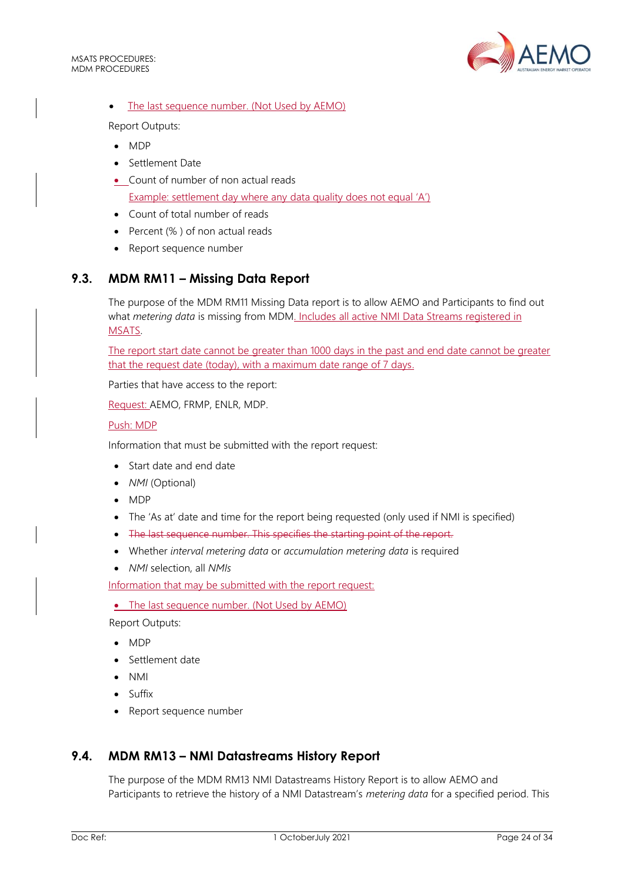

#### The last sequence number. (Not Used by AEMO)

Report Outputs:

- MDP
- Settlement Date
- Count of number of non actual reads Example: settlement day where any data quality does not equal 'A')
- Count of total number of reads
- Percent (% ) of non actual reads
- Report sequence number

# <span id="page-23-0"></span>**9.3. MDM RM11 – Missing Data Report**

The purpose of the MDM RM11 Missing Data report is to allow AEMO and Participants to find out what *metering data* is missing from MDM. Includes all active NMI Data Streams registered in MSATS.

The report start date cannot be greater than 1000 days in the past and end date cannot be greater that the request date (today), with a maximum date range of 7 days.

Parties that have access to the report:

Request: AEMO, FRMP, ENLR, MDP.

#### Push: MDP

Information that must be submitted with the report request:

- Start date and end date
- *NMI* (Optional)
- MDP
- The 'As at' date and time for the report being requested (only used if NMI is specified)
- The last sequence number. This specifies the starting point of the report.
- Whether *interval metering data* or *accumulation metering data* is required
- *NMI* selection, all *NMIs*

Information that may be submitted with the report request:

• The last sequence number. (Not Used by AEMO)

Report Outputs:

- MDP
- Settlement date
- NMI
- Suffix
- Report sequence number

## <span id="page-23-1"></span>**9.4. MDM RM13 – NMI Datastreams History Report**

The purpose of the MDM RM13 NMI Datastreams History Report is to allow AEMO and Participants to retrieve the history of a NMI Datastream's *metering data* for a specified period. This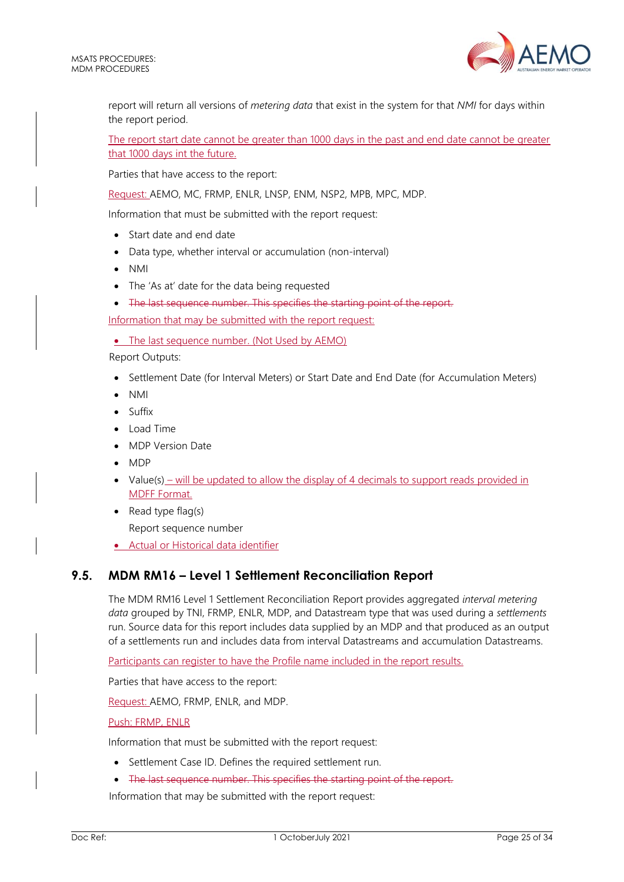

report will return all versions of *metering data* that exist in the system for that *NMI* for days within the report period.

The report start date cannot be greater than 1000 days in the past and end date cannot be greater that 1000 days int the future.

Parties that have access to the report:

Request: AEMO, MC, FRMP, ENLR, LNSP, ENM, NSP2, MPB, MPC, MDP.

Information that must be submitted with the report request:

- Start date and end date
- Data type, whether interval or accumulation (non-interval)
- NMI
- The 'As at' date for the data being requested
- The last sequence number. This specifies the starting point of the report.

Information that may be submitted with the report request:

• The last sequence number. (Not Used by AEMO)

Report Outputs:

- Settlement Date (for Interval Meters) or Start Date and End Date (for Accumulation Meters)
- NMI
- Suffix
- Load Time
- MDP Version Date
- MDP
- Value(s) will be updated to allow the display of 4 decimals to support reads provided in MDFF Format.
- Read type flag(s) Report sequence number
- Actual or Historical data identifier

## <span id="page-24-0"></span>**9.5. MDM RM16 – Level 1 Settlement Reconciliation Report**

The MDM RM16 Level 1 Settlement Reconciliation Report provides aggregated *interval metering data* grouped by TNI, FRMP, ENLR, MDP, and Datastream type that was used during a *settlements* run. Source data for this report includes data supplied by an MDP and that produced as an output of a settlements run and includes data from interval Datastreams and accumulation Datastreams.

Participants can register to have the Profile name included in the report results.

Parties that have access to the report:

Request: AEMO, FRMP, ENLR, and MDP.

#### Push: FRMP, ENLR

Information that must be submitted with the report request:

- Settlement Case ID. Defines the required settlement run.
- The last sequence number. This specifies the starting point of the report.

Information that may be submitted with the report request: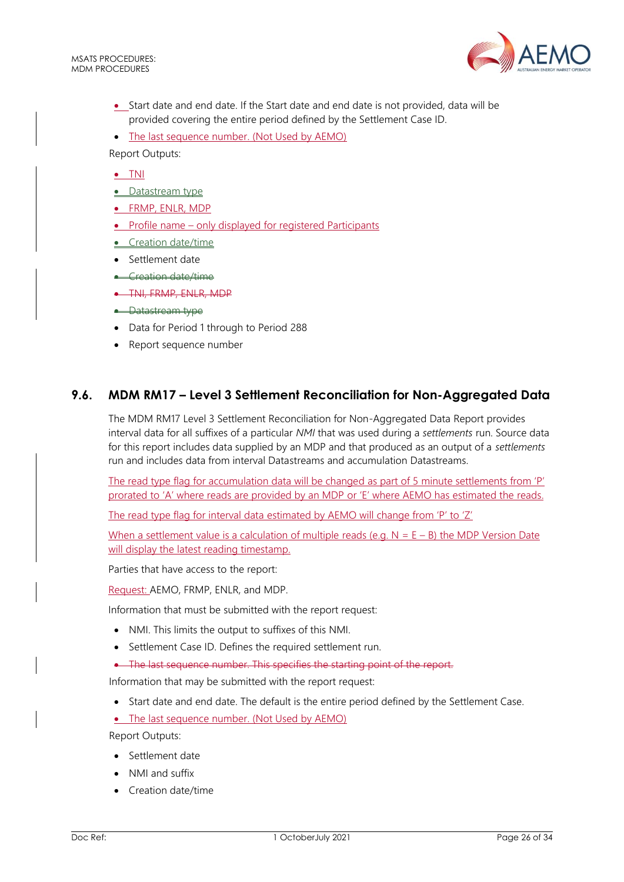

- Start date and end date. If the Start date and end date is not provided, data will be provided covering the entire period defined by the Settlement Case ID.
- The last sequence number. (Not Used by AEMO)

Report Outputs:

• TNI

- Datastream type
- FRMP, ENLR, MDP
- Profile name only displayed for registered Participants
- Creation date/time
- Settlement date
- Creation date/time
- TNI, FRMP, ENLR, MDP
- **•** Datastream type
- Data for Period 1 through to Period 288
- Report sequence number

## <span id="page-25-0"></span>**9.6. MDM RM17 – Level 3 Settlement Reconciliation for Non-Aggregated Data**

The MDM RM17 Level 3 Settlement Reconciliation for Non-Aggregated Data Report provides interval data for all suffixes of a particular *NMI* that was used during a *settlements* run. Source data for this report includes data supplied by an MDP and that produced as an output of a *settlements* run and includes data from interval Datastreams and accumulation Datastreams.

The read type flag for accumulation data will be changed as part of 5 minute settlements from 'P' prorated to 'A' where reads are provided by an MDP or 'E' where AEMO has estimated the reads.

The read type flag for interval data estimated by AEMO will change from 'P' to 'Z'

When a settlement value is a calculation of multiple reads (e.g.  $N = F - B$ ) the MDP Version Date will display the latest reading timestamp.

Parties that have access to the report:

Request: AEMO, FRMP, ENLR, and MDP.

Information that must be submitted with the report request:

- NMI. This limits the output to suffixes of this NMI.
- Settlement Case ID. Defines the required settlement run.
- The last sequence number. This specifies the starting point of the report.

Information that may be submitted with the report request:

• Start date and end date. The default is the entire period defined by the Settlement Case.

• The last sequence number. (Not Used by AEMO)

- Settlement date
- NMI and suffix
- Creation date/time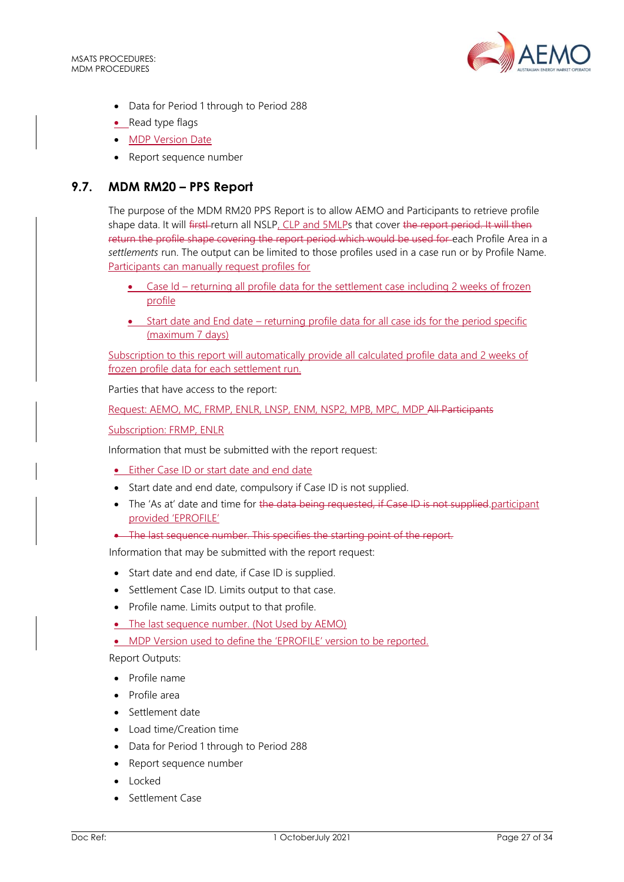

- Data for Period 1 through to Period 288
- Read type flags
- MDP Version Date
- Report sequence number

## <span id="page-26-0"></span>**9.7. MDM RM20 – PPS Report**

The purpose of the MDM RM20 PPS Report is to allow AEMO and Participants to retrieve profile shape data. It will firstl-return all NSLP, CLP and 5MLPs that cover the report period. It will then return the profile shape covering the report period which would be used for each Profile Area in a *settlements* run. The output can be limited to those profiles used in a case run or by Profile Name. Participants can manually request profiles for

- Case Id returning all profile data for the settlement case including 2 weeks of frozen profile
- Start date and End date returning profile data for all case ids for the period specific (maximum 7 days)

Subscription to this report will automatically provide all calculated profile data and 2 weeks of frozen profile data for each settlement run.

Parties that have access to the report:

Request: AEMO, MC, FRMP, ENLR, LNSP, ENM, NSP2, MPB, MPC, MDP All Participants

Subscription: FRMP, ENLR

Information that must be submitted with the report request:

• Either Case ID or start date and end date

- Start date and end date, compulsory if Case ID is not supplied.
- The 'As at' date and time for the data being requested, if Case ID is not supplied participant provided 'EPROFILE'
- The last sequence number. This specifies the starting point of the report-

Information that may be submitted with the report request:

- Start date and end date, if Case ID is supplied.
- Settlement Case ID. Limits output to that case.
- Profile name. Limits output to that profile.
- The last sequence number. (Not Used by AEMO)

• MDP Version used to define the 'EPROFILE' version to be reported.

- Profile name
- Profile area
- Settlement date
- Load time/Creation time
- Data for Period 1 through to Period 288
- Report sequence number
- Locked
- Settlement Case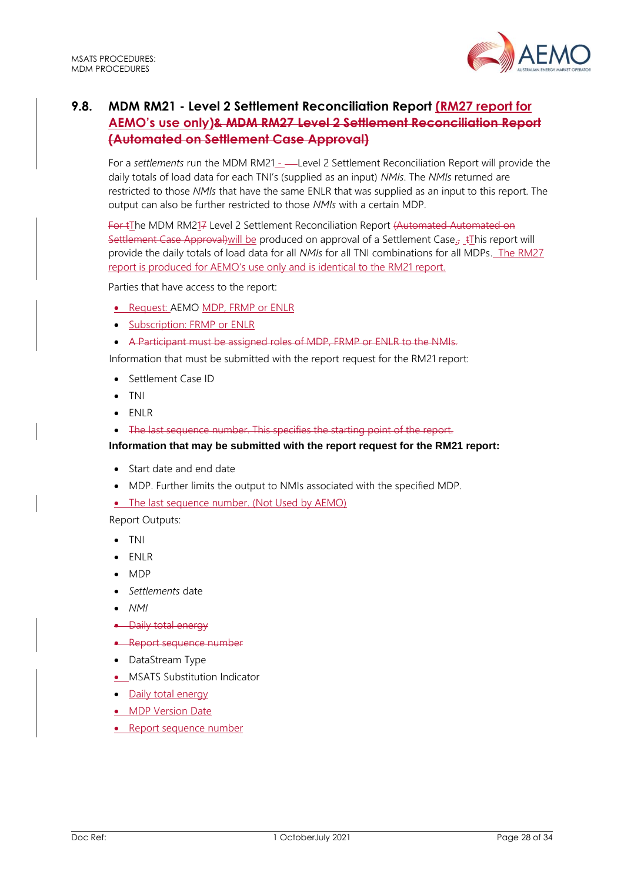

# <span id="page-27-0"></span>**9.8. MDM RM21 - Level 2 Settlement Reconciliation Report (RM27 report for AEMO's use only)& MDM RM27 Level 2 Settlement Reconciliation Report (Automated on Settlement Case Approval)**

For a *settlements* run the MDM RM21 - ---Level 2 Settlement Reconciliation Report will provide the daily totals of load data for each TNI's (supplied as an input) *NMIs*. The *NMIs* returned are restricted to those *NMIs* that have the same ENLR that was supplied as an input to this report. The output can also be further restricted to those *NMIs* with a certain MDP.

For tThe MDM RM217 Level 2 Settlement Reconciliation Report (Automated Automated on Settlement Case Approval) will be produced on approval of a Settlement Case<sub> $\bar{x}$ </sub>  $\pm$ This report will provide the daily totals of load data for all *NMIs* for all TNI combinations for all MDPs. The RM27 report is produced for AEMO's use only and is identical to the RM21 report.

Parties that have access to the report:

- Request: AEMO MDP, FRMP or ENLR
- Subscription: FRMP or ENLR
- A Participant must be assigned roles of MDP, FRMP or ENLR to the NMIs.

Information that must be submitted with the report request for the RM21 report:

- Settlement Case ID
- TNI
- ENLR
- The last sequence number. This specifies the starting point of the report.

**Information that may be submitted with the report request for the RM21 report:**

- Start date and end date
- MDP. Further limits the output to NMIs associated with the specified MDP.
- The last sequence number. (Not Used by AEMO)

- TNI
- ENLR
- MDP
- *Settlements* date
- *NMI*
- Daily total energy
- Report sequence number
- DataStream Type
- MSATS Substitution Indicator
- **Daily total energy**
- MDP Version Date
- Report sequence number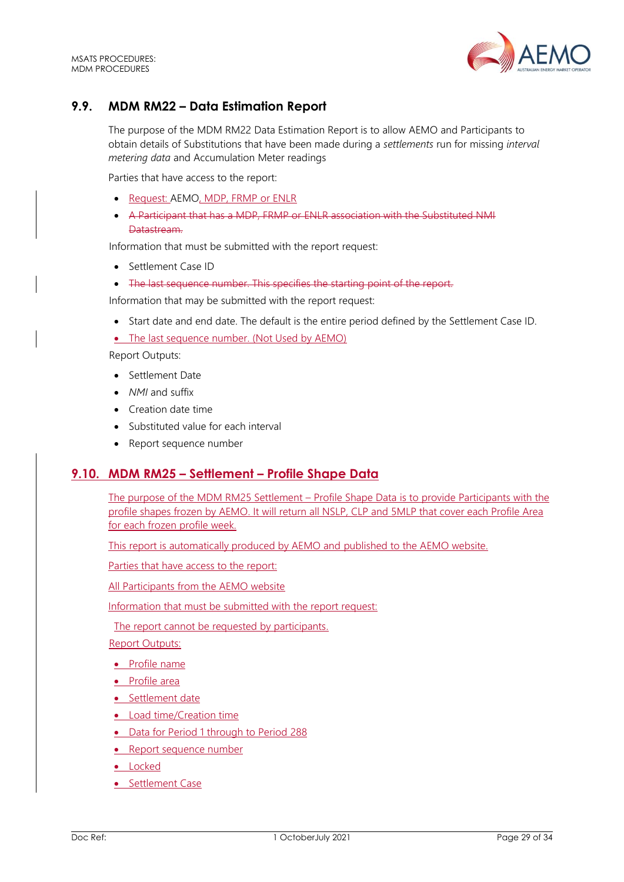

# <span id="page-28-0"></span>**9.9. MDM RM22 – Data Estimation Report**

The purpose of the MDM RM22 Data Estimation Report is to allow AEMO and Participants to obtain details of Substitutions that have been made during a *settlements* run for missing *interval metering data* and Accumulation Meter readings

Parties that have access to the report:

- Request: AEMO, MDP, FRMP or ENLR
- A Participant that has a MDP, FRMP or ENLR association with the Substituted NMI Datastream.

Information that must be submitted with the report request:

- Settlement Case ID
- The last sequence number. This specifies the starting point of the report.

Information that may be submitted with the report request:

- Start date and end date. The default is the entire period defined by the Settlement Case ID.
- The last sequence number. (Not Used by AEMO)

Report Outputs:

- Settlement Date
- *NMI* and suffix
- Creation date time
- Substituted value for each interval
- Report sequence number

## <span id="page-28-1"></span>**9.10. MDM RM25 – Settlement – Profile Shape Data**

The purpose of the MDM RM25 Settlement – Profile Shape Data is to provide Participants with the profile shapes frozen by AEMO. It will return all NSLP, CLP and 5MLP that cover each Profile Area for each frozen profile week.

This report is automatically produced by AEMO and published to the AEMO website.

Parties that have access to the report:

All Participants from the AEMO website

Information that must be submitted with the report request:

The report cannot be requested by participants.

- Profile name
- Profile area
- Settlement date
- Load time/Creation time
- Data for Period 1 through to Period 288
- Report sequence number
- Locked
- Settlement Case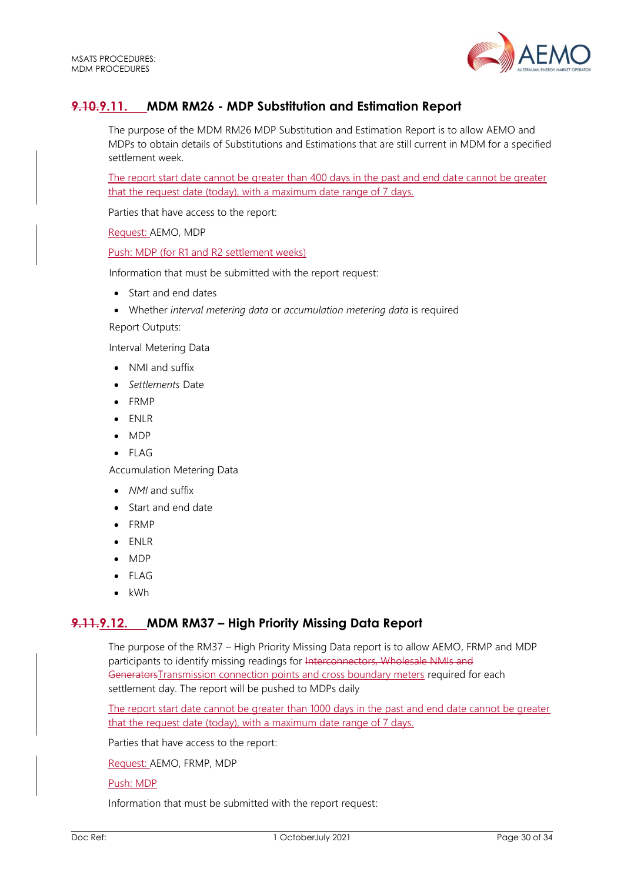

# <span id="page-29-0"></span>**9.10.9.11. MDM RM26 - MDP Substitution and Estimation Report**

The purpose of the MDM RM26 MDP Substitution and Estimation Report is to allow AEMO and MDPs to obtain details of Substitutions and Estimations that are still current in MDM for a specified settlement week.

The report start date cannot be greater than 400 days in the past and end date cannot be greater that the request date (today), with a maximum date range of 7 days.

Parties that have access to the report:

Request: AEMO, MDP

Push: MDP (for R1 and R2 settlement weeks)

Information that must be submitted with the report request:

- Start and end dates
- Whether *interval metering data* or *accumulation metering data* is required

Report Outputs:

Interval Metering Data

- NMI and suffix
- *Settlements* Date
- FRMP
- ENLR
- MDP
- FLAG

Accumulation Metering Data

- *NMI* and suffix
- Start and end date
- FRMP
- ENLR
- MDP
- FLAG
- kWh

## <span id="page-29-1"></span>**9.11.9.12. MDM RM37 – High Priority Missing Data Report**

The purpose of the RM37 – High Priority Missing Data report is to allow AEMO, FRMP and MDP participants to identify missing readings for Interconnectors, Wholesale NMIs and GeneratorsTransmission connection points and cross boundary meters required for each settlement day. The report will be pushed to MDPs daily

The report start date cannot be greater than 1000 days in the past and end date cannot be greater that the request date (today), with a maximum date range of 7 days.

Parties that have access to the report:

Request: AEMO, FRMP, MDP

Push: MDP

Information that must be submitted with the report request: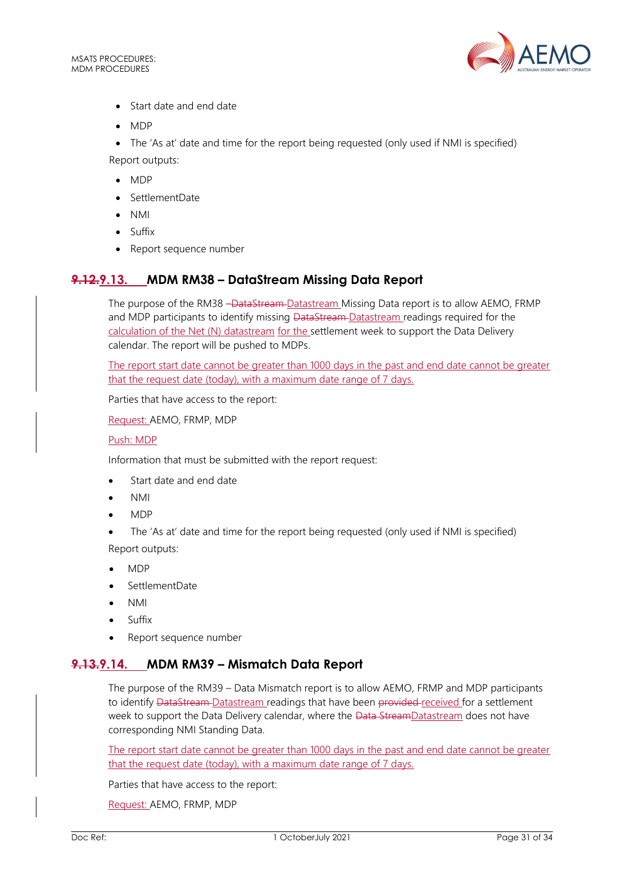

- Start date and end date
- MDP

• The 'As at' date and time for the report being requested (only used if NMI is specified) Report outputs:

- MDP
- SettlementDate
- NMI
- Suffix
- Report sequence number

# <span id="page-30-0"></span>**9.12.9.13. MDM RM38 – DataStream Missing Data Report**

The purpose of the RM38 -DataStream-Datastream Missing Data report is to allow AEMO, FRMP and MDP participants to identify missing DataStream-Datastream readings required for the calculation of the Net (N) datastream for the settlement week to support the Data Delivery calendar. The report will be pushed to MDPs.

The report start date cannot be greater than 1000 days in the past and end date cannot be greater that the request date (today), with a maximum date range of 7 days.

Parties that have access to the report:

Request: AEMO, FRMP, MDP

#### Push: MDP

Information that must be submitted with the report request:

- Start date and end date
- NMI
- MDP
- The 'As at' date and time for the report being requested (only used if NMI is specified) Report outputs:
- MDP
- SettlementDate
- NMI
- Suffix
- Report sequence number

## <span id="page-30-1"></span>**9.13.9.14. MDM RM39 – Mismatch Data Report**

The purpose of the RM39 – Data Mismatch report is to allow AEMO, FRMP and MDP participants to identify DataStream-Datastream readings that have been provided-received for a settlement week to support the Data Delivery calendar, where the Data StreamDatastream does not have corresponding NMI Standing Data.

The report start date cannot be greater than 1000 days in the past and end date cannot be greater that the request date (today), with a maximum date range of 7 days.

Parties that have access to the report:

Request: AEMO, FRMP, MDP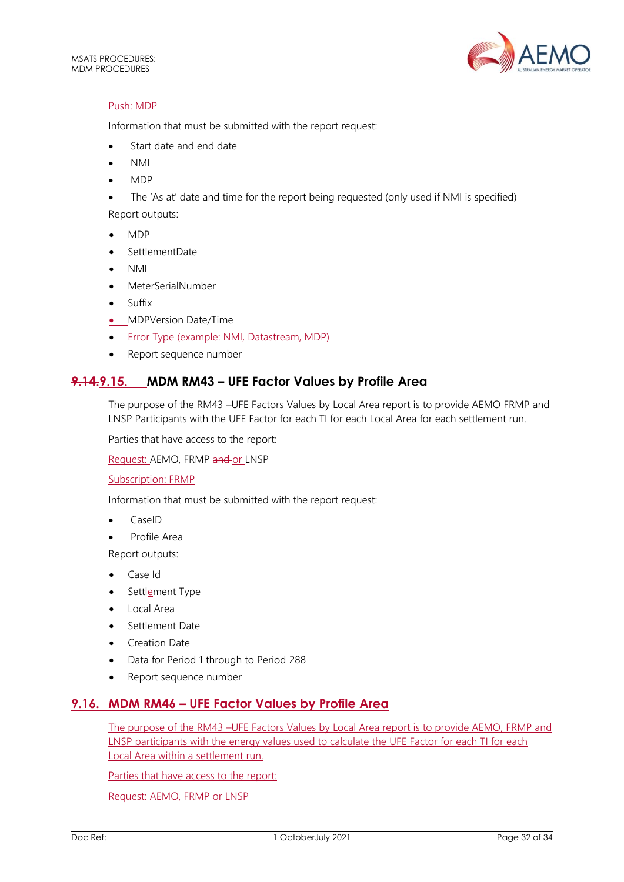

#### Push: MDP

Information that must be submitted with the report request:

- Start date and end date
- NMI
- MDP
- The 'As at' date and time for the report being requested (only used if NMI is specified) Report outputs:
- MDP
- SettlementDate
- NMI
- MeterSerialNumber
- **Suffix**
- MDPVersion Date/Time
- Error Type (example: NMI, Datastream, MDP)
- Report sequence number

# <span id="page-31-0"></span>**9.14.9.15. MDM RM43 – UFE Factor Values by Profile Area**

The purpose of the RM43 –UFE Factors Values by Local Area report is to provide AEMO FRMP and LNSP Participants with the UFE Factor for each TI for each Local Area for each settlement run.

Parties that have access to the report:

Request: AEMO, FRMP and or LNSP

Subscription: FRMP

Information that must be submitted with the report request:

- CaseID
- Profile Area

Report outputs:

- Case Id
- Settlement Type
- Local Area
- Settlement Date
- Creation Date
- Data for Period 1 through to Period 288
- Report sequence number

## <span id="page-31-1"></span>**9.16. MDM RM46 – UFE Factor Values by Profile Area**

The purpose of the RM43 –UFE Factors Values by Local Area report is to provide AEMO, FRMP and LNSP participants with the energy values used to calculate the UFE Factor for each TI for each Local Area within a settlement run.

Parties that have access to the report:

Request: AEMO, FRMP or LNSP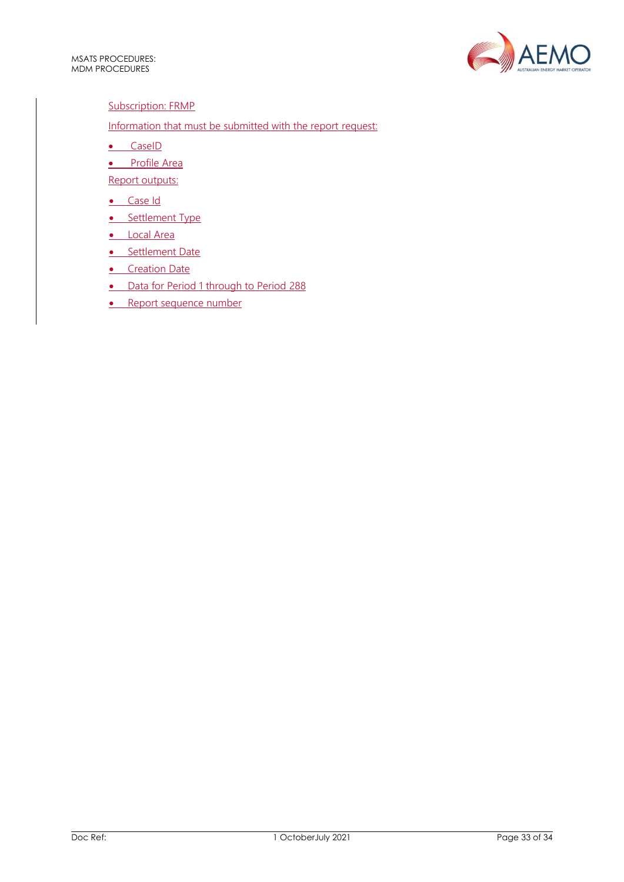

#### Subscription: FRMP

# Information that must be submitted with the report request:

- CaseID
- Profile Area
- Report outputs:
- Case Id
- Settlement Type
- Local Area
- Settlement Date
- **•** Creation Date
- Data for Period 1 through to Period 288
- Report sequence number